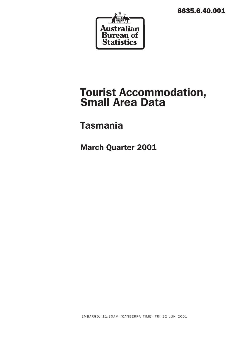8635.6.40.001



# Tourist Accommodation, Small Area Data

# Tasmania

March Quarter 2001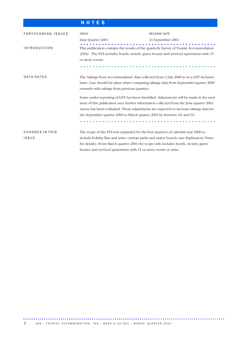# N O T E S

| FORTHCOMING ISSUES       | <b>ISSUE</b>                                                                                                                                                                                                                                                                                                                           | <b>RELEASE DATE</b>                                                                   |
|--------------------------|----------------------------------------------------------------------------------------------------------------------------------------------------------------------------------------------------------------------------------------------------------------------------------------------------------------------------------------|---------------------------------------------------------------------------------------|
|                          | June Quarter 2001                                                                                                                                                                                                                                                                                                                      | 21 September 2001                                                                     |
| <b>INTRODUCTION</b>      | This publication contains the results of the quarterly Survey of Tourist Accommodation<br>(STA). The STA includes hotels, motels, guest houses and serviced apartments with 15<br>or more rooms.                                                                                                                                       |                                                                                       |
| DATA NOTES               | The 'takings from accommodation' data collected from 1 July 2000 is on a GST inclusive<br>onwards with takings from previous quarters.                                                                                                                                                                                                 | basis. Care should be taken when comparing takings data from September quarter 2000   |
|                          | issue of this publication once further information collected from the June quarter 2001<br>survey has been evaluated. These adjustments are expected to increase takings data for<br>the September quarter 2000 to March quarter 2001 by between 4% and 6%.                                                                            | Some under-reporting of GST has been identified. Adjustments will be made in the next |
| CHANGES IN THIS<br>ISSUE | The scope of the STA was expanded for the four quarters of calendar year 2000 to<br>include holiday flats and units, caravan parks and visitor hostels (see Explanatory Notes<br>for details). From March quarter 2001 the scope only includes hotels, motels, guest<br>houses and serviced apartments with 15 or more rooms or units. |                                                                                       |

................................................................................................. ..............................................................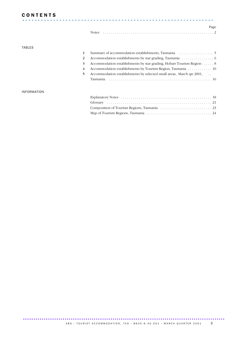## **CONTENTS**

| <b>CONTENTS</b> |  |  |  |  |  |  |  |  |  |  |  |  |  |  |  |  |  |  |  |  |  |  |  |  |  |  |  |      |
|-----------------|--|--|--|--|--|--|--|--|--|--|--|--|--|--|--|--|--|--|--|--|--|--|--|--|--|--|--|------|
|                 |  |  |  |  |  |  |  |  |  |  |  |  |  |  |  |  |  |  |  |  |  |  |  |  |  |  |  |      |
|                 |  |  |  |  |  |  |  |  |  |  |  |  |  |  |  |  |  |  |  |  |  |  |  |  |  |  |  | Page |
|                 |  |  |  |  |  |  |  |  |  |  |  |  |  |  |  |  |  |  |  |  |  |  |  |  |  |  |  |      |

### TABLES

| 3  | Accommodation establishments by star grading, Hobart Tourism Region 8 |
|----|-----------------------------------------------------------------------|
| 4  |                                                                       |
| 5. | Accommodation establishments by selected small areas, March qtr 2001, |
|    |                                                                       |
|    |                                                                       |

### INFORMATION

................................................................................................. .......................................................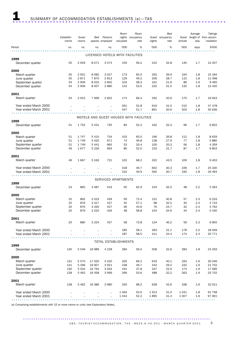|                       |                      |           |         |                             | Room     | Room                                    |        | Bed             |          | Average | Takings                     |
|-----------------------|----------------------|-----------|---------|-----------------------------|----------|-----------------------------------------|--------|-----------------|----------|---------|-----------------------------|
|                       | Establish-           | Guest     | Bed     | Persons                     | nights   | occupancy                               |        | Guest occupancy |          |         | Guest length of from accom- |
|                       | ments                | rooms     |         | spaces employed             | occupied | rate                                    | nights | rate            | arrivals | stay    | modation                    |
| Period                | no.                  | no.       | no.     | no.                         | '000     | %                                       | '000   | %               | '000     | days    | \$'000                      |
|                       |                      |           |         |                             |          |                                         |        |                 |          |         |                             |
|                       |                      |           |         |                             |          | LICENSED HOTELS WITH FACILITIES         |        |                 |          |         |                             |
| 1999                  |                      |           |         |                             |          |                                         |        |                 |          |         |                             |
| December quarter      | 55                   | 2929      | 8071    | 3074                        | 150      | 56.2                                    | 242    | 32.8            | 140      | 1.7     | 12 207                      |
|                       |                      |           |         |                             |          |                                         |        |                 |          |         |                             |
| 2000                  |                      |           |         |                             |          |                                         |        |                 |          |         |                             |
| March quarter         | 55                   | 2931      | 8 0 8 2 | 3 0 2 7                     | 173      | 65.0                                    | 292    | 39.9            | 164      | 1.8     | 15 184                      |
| June quarter          | 55                   | 2871      | 7870    | 2813                        | 129      | 49.2                                    | 206    | 28.7            | 115      | 1.8     | 11 098                      |
| September quarter     | 54                   | 2 9 0 9   | 8 0 2 3 | 2842                        | 103      | 38.3                                    | 161    | 21.9            | 86       | 1.9     | 9465                        |
| December quarter      | 54                   | 2 9 0 6   | 8 0 0 7 | 2880                        | 142      | 53.0                                    | 232    | 31.5            | 132      | 1.8     | 13 4 20                     |
|                       |                      |           |         |                             |          |                                         |        |                 |          |         |                             |
| 2001                  |                      |           |         |                             |          |                                         |        |                 |          |         |                             |
| March quarter         | 54                   | 2915      | 7999    | 2822                        | 174      | 66.4                                    | 292    | 40.6            | 170      | 1.7     | 16 653                      |
|                       |                      |           |         |                             |          |                                         |        |                 |          |         |                             |
| Year ended March 2000 |                      |           |         |                             | 561      | 52.8                                    | 919    | 31.5            | 515      | 1.8     | 47478                       |
| Year ended March 2001 |                      |           |         |                             | 547      | 51.7                                    | 891    | 30.6            | 503      | 1.8     | 50 636                      |
|                       |                      |           |         |                             |          |                                         |        |                 |          |         |                             |
|                       |                      |           |         |                             |          | MOTELS AND GUEST HOUSES WITH FACILITIES |        |                 |          |         |                             |
| 1999                  |                      |           |         |                             |          |                                         |        |                 |          |         |                             |
| December quarter      | 51                   | 1752      | 5431    | 735                         | 84       | 52.2                                    | 162    | 32.3            | 96       | 1.7     | 6822                        |
|                       |                      |           |         |                             |          |                                         |        |                 |          |         |                             |
| 2000                  |                      |           |         |                             |          |                                         |        |                 |          |         |                             |
| March quarter         | 51                   | 1747      | 5415    | 754                         | 103      | 65.0                                    | 196    | 39.8            | 112      | 1.8     | 8629                        |
| June quarter          | 51                   | 1749      | 5 4 2 0 | 671                         | 74       | 46.8                                    | 138    | 27.9            | 77       | 1.8     | 5880                        |
| September quarter     | 51                   | 1749      | 5 4 4 1 | 665                         | 53       | 33.4                                    | 100    | 20.3            | 56       | 1.8     | 4 3 5 9                     |
| December quarter      | 49                   | 1677      | 5 2 2 6 | 693                         | 80       | 52.0                                    | 153    | 31.7            | 87       | 1.7     | 6853                        |
|                       |                      |           |         |                             |          |                                         |        |                 |          |         |                             |
| 2001                  |                      |           |         |                             |          |                                         |        |                 |          |         |                             |
| March quarter         | 49                   | 1667      | 5 1 6 3 | 721                         | 102      | 68.2                                    | 202    | 43.5            | 109      | 1.8     | 9 4 0 3                     |
|                       |                      |           |         |                             |          |                                         |        |                 |          |         |                             |
| Year ended March 2000 |                      |           |         | $\ddot{\phantom{a}}$        | 318      | 49.7                                    | 602    | 30.3            | 349      | 1.7     | 25 330                      |
| Year ended March 2001 |                      | $\ddotsc$ |         | $\ddot{\phantom{a}}$        | 310      | 49.9                                    | 592    | 30.7            | 330      | 1.8     | 26 494                      |
|                       |                      |           |         |                             |          |                                         |        |                 |          |         |                             |
|                       |                      |           |         | SERVICED APARTMENTS         |          |                                         |        |                 |          |         |                             |
| 1999                  |                      |           |         |                             |          |                                         |        |                 |          |         |                             |
| December quarter      | 24                   | 865       | 3 4 8 7 | 419                         | 50       | 62.9                                    | 104    | 32.5            | 48       | 2.2     | 5 2 6 4                     |
|                       |                      |           |         |                             |          |                                         |        |                 |          |         |                             |
| 2000                  |                      |           |         |                             |          |                                         |        |                 |          |         |                             |
| March quarter         | 25                   | 892       | 3 5 2 3 | 439                         | 59       | 72.4                                    | 131    | 40.8            | 57       | 2.3     | 6 2 3 3                     |
| June quarter          | 25                   | 876       | 3 3 1 7 | 437                         | 45       | 57.1                                    | 98     | 32.5            | 40       | 2.4     | 4 7 2 4                     |
| September quarter     | 25                   | 876       | 3 3 3 0 | 427                         | 36       | 44.6                                    | 76     | 24.7            | 32       | 2.4     | 3762                        |
| December quarter      | 25                   | 879       | 3 2 2 5 | 426                         | 48       | 58.8                                    | 104    | 34.9            | 44       | 2.4     | 5 4 3 0                     |
|                       |                      |           |         |                             |          |                                         |        |                 |          |         |                             |
| 2001                  |                      |           |         |                             |          |                                         |        |                 |          |         |                             |
| March quarter         | 25                   | 880       | 3 2 2 4 | 437                         | 58       | 73.8                                    | 134    | 46.2            | 59       | 2.3     | 6855                        |
|                       |                      |           |         |                             |          |                                         |        |                 |          |         |                             |
| Year ended March 2000 | $\ddot{\phantom{a}}$ |           |         |                             | 185      | 58.1                                    | 393    | 31.1            | 178      | $2.2\,$ | 18 949                      |
| Year ended March 2001 |                      |           |         | $\ddot{\phantom{a}}$        | 187      | 58.5                                    | 411    | 34.4            | 174      | 2.4     | 20 771                      |
|                       |                      |           |         |                             |          |                                         |        |                 |          |         |                             |
|                       |                      |           |         | <b>TOTAL ESTABLISHMENTS</b> |          |                                         |        |                 |          |         |                             |
| 1999                  |                      |           |         |                             |          |                                         |        |                 |          |         |                             |
| December quarter      | 130                  | 5546      | 16 989  | 4 2 2 8                     | 284      | 56.0                                    | 508    | 32.6            | 283      | 1.8     | 24 293                      |
|                       |                      |           |         |                             |          |                                         |        |                 |          |         |                             |
| 2000                  |                      |           |         |                             |          |                                         |        |                 |          |         |                             |
| March quarter         | 131                  | 5570      | 17 0 20 | 4 2 2 0                     | 335      | 66.2                                    | 619    | 40.1            | 333      | 1.9     | 30 046                      |
| June quarter          | 131                  | 5496      | 16 607  | 3921                        | 248      | 49.7                                    | 442    | 29.2            | 232      | 1.9     | 21 702                      |
| September quarter     | 130                  | 5 5 3 4   | 16 794  | 3934                        | 191      | 37.8                                    | 337    | 22.0            | 174      | 1.9     | 17 585                      |
| December quarter      | 128                  | 5462      | 16 458  | 3999                        | 269      | 53.6                                    | 488    | 32.2            | 263      | 1.9     | 25 702                      |
|                       |                      |           |         |                             |          |                                         |        |                 |          |         |                             |
| 2001                  |                      |           |         |                             |          |                                         |        |                 |          |         |                             |
| March quarter         | 128                  | 5 4 6 2   | 16 38 6 | 3 9 8 0                     | 335      | 68.2                                    | 628    | 42.6            | 338      | 1.9     | 32 911                      |
|                       |                      |           |         |                             |          |                                         |        |                 |          |         |                             |
| Year ended March 2000 |                      |           |         |                             | 1 0 6 3  | 52.6                                    | 1913   | 31.0            | 1041     | 1.8     | 91 758                      |
| Year ended March 2001 |                      |           |         |                             | 1044     | 52.2                                    | 1895   | 31.4            | 1 0 0 7  | 1.9     | 97 901                      |
|                       |                      |           |         |                             |          |                                         |        |                 |          |         |                             |

(a) Comprising establishments with 15 or more rooms or units (see Explanatory Notes).

..........................................................................................  $ABS \cdot TOURIST ACCOMMODATION, TAS \cdot 8635.6.40.001 \cdot MARCH QUARTER 2001 5$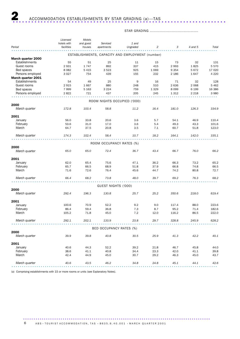## STAR GRADING ........................................

|                       | Licensed    | Motels    |                             |                                                  |         |         |         |         |
|-----------------------|-------------|-----------|-----------------------------|--------------------------------------------------|---------|---------|---------|---------|
|                       | hotels with | and guest | Serviced                    | 1 and                                            |         |         |         |         |
| Period                | facilities  | houses    | apartments                  | Ungraded                                         | 2       | 3       | 4 and 5 | Total   |
|                       |             |           |                             | ESTABLISHMENTS, CAPACITY AND EMPLOYMENT (number) |         |         |         |         |
| March quarter 2000    |             |           |                             |                                                  |         |         |         |         |
| <b>Establishments</b> | 55          | 51        | 25                          | 11                                               | 15      | 73      | 32      | 131     |
| Guest rooms           | 2931        | 1747      | 892                         | 337                                              | 415     | 2993    | 1825    | 5570    |
| Bed spaces            | 8 0 8 2     | 5 4 1 5   | 3 5 2 3                     | 925                                              | 1 0 6 9 | 9 3 5 4 | 5672    | 17 020  |
| Persons employed      | 3 0 2 7     | 754       | 439                         | 155                                              | 232     | 2 1 8 6 | 1647    | 4 2 2 0 |
| March quarter 2001    |             |           |                             |                                                  |         |         |         |         |
| Establishments        | 54          | 49        | 25                          | 9                                                | 16      | 71      | 32      | 128     |
| Guest rooms           | 2915        | 1667      | 880                         | 248                                              | 510     | 2636    | 2 0 6 8 | 5 4 6 2 |
| Bed spaces            |             | 5 1 6 3   | 3 2 2 4                     | 759                                              | 1 3 2 9 | 8 0 9 9 | 6 1 9 9 | 16 38 6 |
|                       | 7999        |           |                             | 205                                              |         |         |         |         |
| Persons employed      | 2822        | 721       | 437                         |                                                  | 245     | 1 3 1 2 | 2 2 1 8 | 3 9 8 0 |
|                       |             |           | ROOM NIGHTS OCCUPIED ('000) |                                                  |         |         |         |         |
| 2000                  |             |           |                             |                                                  |         |         |         |         |
| March quarter         | 172.8       | 103.4     | 58.8                        | 11.2                                             | 16.4    | 181.0   | 126.3   | 334.9   |
| 2001                  |             |           |                             |                                                  |         |         |         |         |
| January               | 56.0        | 33.8      | 20.6                        | 3.6                                              | 5.7     | 54.1    | 46.9    | 110.4   |
| February              | 53.6        | 31.0      | 17.0                        | 3.6                                              | 5.4     | 49.3    | 43.3    | 101.6   |
| March                 | 64.7        | 37.5      | 20.8                        | 3.5                                              | 7.1     | 60.7    | 51.8    | 123.0   |
|                       |             |           |                             |                                                  |         |         |         |         |
| March quarter         | 174.3       | 102.4     | 58.4                        | 10.7                                             | 18.2    | 164.1   | 142.0   | 335.1   |
|                       |             |           | ROOM OCCUPANCY RATES (%)    |                                                  |         |         |         |         |
| 2000                  |             |           |                             |                                                  |         |         |         |         |
| March quarter         | 65.0        | 65.0      | 72.4                        | 36.7                                             | 43.4    | 66.7    | 76.0    | 66.2    |
| 2001                  |             |           |                             |                                                  |         |         |         |         |
| January               | 62.0        | 65.4      | 75.6                        | 47.1                                             | 36.2    | 66.3    | 73.2    | 65.2    |
| February              | 65.7        | 66.5      | 68.9                        | 51.8                                             | 37.9    | 66.8    | 74.8    | 66.5    |
| March                 | 71.6        | 72.6      | 76.4                        | 45.6                                             | 44.7    | 74.2    | 80.8    | 72.7    |
|                       |             |           |                             |                                                  |         |         |         |         |
| March quarter         | 66.4        | 68.2      | 73.8                        | 48.0                                             | 39.7    | 69.2    | 76.3    | 68.2    |
|                       |             |           | GUEST NIGHTS ('000)         |                                                  |         |         |         |         |
| 2000                  |             |           |                             |                                                  |         |         |         |         |
| March quarter         | 292.4       | 196.3     | 130.8                       | 25.7                                             | 25.2    | 350.6   | 218.0   | 619.4   |
| 2001                  |             |           |                             |                                                  |         |         |         |         |
| January               | 100.6       | 70.9      | 52.2                        | 9.2                                              | 9.0     | 117.4   | 88.0    | 223.6   |
| February              | 86.4        | 59.4      | 36.8                        | 7.3                                              | 8.7     | 95.2    | 71.4    | 182.6   |
| March                 | 105.2       | 71.8      | 45.0                        | 7.2                                              | 12.0    | 116.2   | 86.5    | 222.0   |
| March quarter         | 292.1       | 202.1     | 133.9                       | 23.8                                             | 29.7    | 328.8   | 245.9   | 628.2   |
|                       |             |           |                             |                                                  |         |         |         |         |
|                       |             |           | BED OCCUPANCY RATES (%)     |                                                  |         |         |         |         |
| 2000                  |             |           |                             |                                                  |         |         |         |         |
| March quarter         | 39.9        | 39.8      | 40.8                        | 30.5                                             | 25.9    | 41.3    | 42.2    | 40.1    |
| 2001                  |             |           |                             |                                                  |         |         |         |         |
| January               | 40.6        | 44.3      | 52.2                        | 39.2                                             | 21.8    | 46.7    | 45.8    | 44.0    |
| February              | 38.6        | 41.1      | 40.8                        | 34.4                                             | 23.3    | 42.0    | 41.1    | 39.8    |
| March                 | 42.4        | 44.9      | 45.0                        | 30.7                                             | 29.2    | 46.3    | 45.0    | 43.7    |
| March quarter         | 40.6        | 43.5      | 46.2                        | 34.8                                             | 24.8    | 45.1    | 44.1    | 42.6    |
|                       |             |           |                             |                                                  |         |         |         |         |

(a) Comprising establishments with 15 or more rooms or units (see Explanatory Notes).

..........................................................................................  $6$  ABS • TOURIST ACCOMMODATION, TAS • 8635.6.40.001 • MARCH QUARTER 2001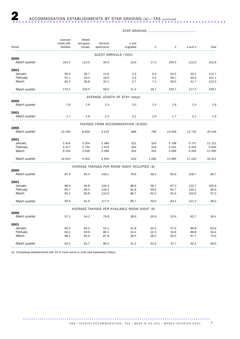### STAR GRADING ........................................

|               | Licensed    | Motels    |                       |                                               |                |         |         |        |
|---------------|-------------|-----------|-----------------------|-----------------------------------------------|----------------|---------|---------|--------|
|               | hotels with | and guest | Serviced              | 1 and                                         |                |         |         |        |
| Period        | facilities  | houses    | apartments            | Ungraded                                      | $\overline{c}$ | 3       | 4 and 5 | Total  |
|               |             |           | GUEST ARRIVALS ('000) |                                               |                |         |         |        |
| 2000          |             |           |                       |                                               |                |         |         |        |
| March quarter | 164.3       | 112.0     | 56.6                  | 12.8                                          | 17.5           | 190.5   | 112.0   | 332.8  |
| 2001          |             |           |                       |                                               |                |         |         |        |
| January       | 56.5        | 36.7      | 21.6                  | 4.3                                           | 5.9            | 64.5    | 40.1    | 114.7  |
| February      | 51.1        | 33.0      | 16.9                  | 3.4                                           | 5.4            | 56.7    | 35.6    | 101.1  |
| March         | 62.4        | 39.8      | 20.1                  | 3.7                                           | 7.4            | 69.5    | 41.7    | 122.3  |
| March quarter | 170.1       | 109.5     | 58.6                  | 11.4                                          | 18.7           | 190.7   | 117.3   | 338.1  |
|               |             |           |                       | AVERAGE LENGTH OF STAY (days)                 |                |         |         |        |
| 2000          |             |           |                       |                                               |                |         |         |        |
| March quarter | 1.8         | 1.8       | 2.3                   | 2.0                                           | 1.4            | 1.8     | 1.9     | 1.9    |
| 2001          |             |           |                       |                                               |                |         |         |        |
| March quarter | 1.7         | 1.8       | 2.3                   | 2.1                                           | 1.6            | 1.7     | 2.1     | 1.9    |
|               |             |           |                       | TAKINGS FROM ACCOMMODATION (\$'000)           |                |         |         |        |
| 2000          |             |           |                       |                                               |                |         |         |        |
| March quarter | 15 184      | 8629      | 6 2 3 3               | 886                                           | 790            | 14 639  | 13732   | 30 046 |
| 2001          |             |           |                       |                                               |                |         |         |        |
| January       | 5 4 2 4     | 3 2 0 4   | 2 4 8 4               | 321                                           | 324            | 4 708   | 5 7 5 7 | 11 111 |
| February      | 5 0 7 7     | 2 7 9 4   | 1975                  | 294                                           | 319            | 4 0 3 1 | 5 2 0 2 | 9845   |
| March         | 6 1 5 3     | 3 4 0 6   | 2 3 9 6               | 304                                           | 442            | 4946    | 6 2 6 3 | 11 955 |
| March quarter | 16 653      | 9 4 0 3   | 6855                  | 919                                           | 1085           | 13 685  | 17 222  | 32 911 |
|               |             |           |                       | AVERAGE TAKINGS PER ROOM NIGHT OCCUPIED (\$)  |                |         |         |        |
| 2000          |             |           |                       |                                               |                |         |         |        |
| March quarter | 87.9        | 83.4      | 106.1                 | 78.8                                          | 48.2           | 80.9    | 108.7   | 89.7   |
| 2001          |             |           |                       |                                               |                |         |         |        |
| January       | 96.9        | 94.8      | 120.4                 | 88.6                                          | 56.7           | 87.0    | 122.7   | 100.6  |
| February      | 94.7        | 90.0      | 116.3                 | 81.8                                          | 59.0           | 81.7    | 120.1   | 96.9   |
| March         | 95.1        | 90.8      | 115.0                 | 86.7                                          | 62.5           | 81.5    | 120.9   | 97.2   |
| March quarter | 95.6        | 91.9      | 117.3                 | 85.7                                          | 59.6           | 83.4    | 121.3   | 98.2   |
|               |             |           |                       | AVERAGE TAKINGS PER AVAILABLE ROOM NIGHT (\$) |                |         |         |        |
| 2000          |             |           |                       |                                               |                |         |         |        |
| March quarter | 57.1        | 54.3      | 76.8                  | 28.9                                          | 20.9           | 53.9    | 82.7    | 59.4   |
| 2001          |             |           |                       |                                               |                |         |         |        |
| January       | 60.0        | 62.0      | 91.1                  | 41.8                                          | 20.5           | 57.6    | 89.8    | 65.6   |
| February      | 62.2        | 59.9      | 80.1                  | 42.4                                          | 22.3           | 54.6    | 89.8    | 64.4   |
| March         | 68.1        | 65.9      | 87.8                  | 39.5                                          | 28.0           | 60.5    | 97.7    | 70.6   |
| March quarter | 63.5        | 62.7      | 86.5                  | 41.2                                          | 23.6           | 57.7    | 92.5    | 66.9   |
|               |             |           |                       |                                               |                |         |         |        |

(a) Comprising establishments with 15 or more rooms or units (see Explanatory Notes).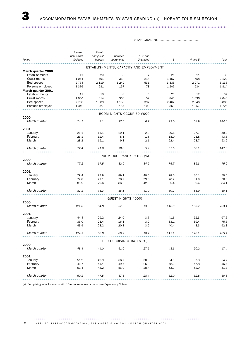..................................................................

STAR GRADING ...................................

|                    | Licensed    | Motels    |                             |                                         |         |         |         |
|--------------------|-------------|-----------|-----------------------------|-----------------------------------------|---------|---------|---------|
|                    | hotels with | and guest | Serviced                    | $1, 2$ and                              |         |         |         |
| Period             | facilities  | houses    | apartments                  | Ungraded                                | 3       | 4 and 5 | Total   |
|                    |             |           |                             | ESTABLISHMENTS, CAPACITY AND EMPLOYMENT |         |         |         |
| March quarter 2000 |             |           |                             |                                         |         |         |         |
| Establishments     | 11          | 20        | 8                           | $\overline{7}$                          | 21      | 11      | 39      |
| Guest rooms        | 1 0 6 4     | 701       | 364                         | 214                                     | 1 1 5 7 | 758     | 2 1 2 9 |
| Bed spaces         | 2 7 7 4     | 2 1 1 9   | 1 2 4 2                     | 531                                     | 3 3 3 3 | 2 2 7 1 | 6 1 3 5 |
| Persons employed   | 1376        | 281       | 157                         | 73                                      | 1 2 0 7 | 534     | 1814    |
| March quarter 2001 |             |           |                             |                                         |         |         |         |
| Establishments     | 11          | 18        | 8                           | 5                                       | 20      | 12      | 37      |
| Guest rooms        | 1 0 6 0     | 614       | 366                         | 159                                     | 845     | 1 0 3 6 | 2 0 4 0 |
| Bed spaces         | 2 7 5 8     | 1889      | 1 1 5 8                     | 397                                     | 2 4 6 2 | 2946    | 5805    |
| Persons employed   | 1 3 4 2     | 227       | 157                         | 100                                     | 369     | 1 2 5 7 | 1726    |
|                    |             |           |                             |                                         |         |         |         |
|                    |             |           | ROOM NIGHTS OCCUPIED ('000) |                                         |         |         |         |
| 2000               |             |           |                             |                                         |         |         |         |
| March quarter      | 74.1        | 43.1      | 27.5                        | 6.7                                     | 79.0    | 58.9    | 144.6   |
| 2001               |             |           |                             |                                         |         |         |         |
| January            | 26.1        | 14.1      | 10.1                        | 2.0                                     | 20.6    | 27.7    | 50.3    |
| February           | 23.1        | 12.4      | 8.1                         | 1.8                                     | 18.0    | 23.8    | 43.6    |
|                    | 28.2        |           |                             |                                         |         | 28.7    |         |
| March              |             | 15.1      | 9.8                         | 2.1                                     | 22.4    |         | 53.2    |
| March quarter      | 77.4        | 41.6      | 28.0                        | 5.9                                     | 61.0    | 80.1    | 147.0   |
|                    |             |           |                             |                                         |         |         |         |
| 2000               |             |           | ROOM OCCUPANCY RATES (%)    |                                         |         |         |         |
| March quarter      | 77.2        | 67.5      | 82.9                        | 34.5                                    | 75.7    | 85.3    | 75.0    |
| 2001               |             |           |                             |                                         |         |         |         |
| January            | 79.4        | 73.9      | 89.1                        | 40.5                                    | 78.6    | 86.1    | 79.5    |
| February           | 77.8        | 72.1      | 78.9                        | 39.6                                    | 76.2    | 81.9    | 76.3    |
| March              | 85.9        | 79.6      | 86.6                        | 42.9                                    | 85.4    | 89.4    | 84.1    |
|                    |             |           |                             |                                         |         |         |         |
| March quarter      | 81.1        | 75.3      | 85.1                        | 41.0                                    | 80.2    | 85.9    | 80.1    |
|                    |             |           | GUEST NIGHTS ('000)         |                                         |         |         |         |
| 2000               |             |           |                             |                                         |         |         |         |
| March quarter      | 121.0       | 84.8      | 57.6                        | 13.3                                    | 146.3   | 103.7   | 263.4   |
| 2001               |             |           |                             |                                         |         |         |         |
| January            | 44.4        | 29.2      | 24.0                        | 3.7                                     | 41.6    | 52.3    | 97.6    |
| February           | 36.0        | 23.4      | 16.1                        | 3.0                                     | 33.1    | 39.4    | 75.5    |
| March              | 43.9        | 28.2      | 20.1                        | 3.5                                     | 40.4    | 48.3    | 92.3    |
|                    |             |           |                             |                                         |         |         |         |
| March quarter      | 124.3       | 80.8      | 60.2                        | 10.2                                    | 115.1   | 140.1   | 265.4   |
|                    |             |           | BED OCCUPANCY RATES (%)     |                                         |         |         |         |
| 2000               |             |           |                             |                                         |         |         |         |
| March quarter      | 48.4        | 44.0      | 51.0                        | 27.6                                    | 48.6    | 50.2    | 47.4    |
|                    |             |           |                             |                                         |         |         |         |
| 2001               |             |           |                             |                                         |         |         |         |
| January            | 51.9        | 49.9      | 66.7                        | 30.0                                    | 54.5    | 57.3    | 54.2    |
| February           | 46.7        | 44.1      | 49.7                        | 26.8                                    | 48.0    | 47.8    | 46.4    |
| March              | 51.4        | 48.2      | 56.0                        | 28.4                                    | 53.0    | 52.9    | 51.3    |
| March quarter      | 50.1        | 47.5      | 57.8                        | 28.4                                    | 52.0    | 52.8    | 50.8    |
|                    |             |           |                             |                                         |         |         |         |

(a) Comprising establishments with 15 or more rooms or units (see Explanatory Notes).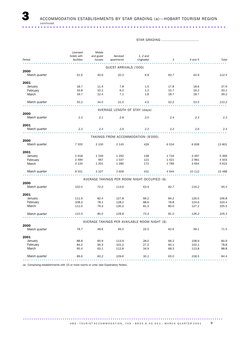STAR GRADING ................................

|               | Licensed    | Motels    |                               |                                               |         |         |         |
|---------------|-------------|-----------|-------------------------------|-----------------------------------------------|---------|---------|---------|
|               | hotels with | and guest | Serviced                      | $1, 2$ and                                    |         |         |         |
| Period        | facilities  | houses    | apartments                    | Ungraded                                      | 3       | 4 and 5 | Total   |
|               |             |           | GUEST ARRIVALS ('000)         |                                               |         |         |         |
| 2000          |             |           |                               |                                               |         |         |         |
| March quarter | 51.6        | 40.6      | 20.3                          | 6.8                                           | 60.7    | 44.9    | 112.4   |
| 2001          |             |           |                               |                                               |         |         |         |
| January       | 18.7        | 11.4      | 7.8                           | 1.5                                           | 17.8    | 18.6    | 37.9    |
| February      | 16.8        | 10.1      | 6.2                           | 1.2                                           | 15.7    | 16.2    | 33.1    |
| March         | 19.7        | 12.4      | 7.1                           | 1.8                                           | 18.7    | 18.7    | 39.2    |
| March quarter | 55.2        | 34.0      | 21.0                          | 4.5                                           | 52.2    | 53.5    | 110.2   |
|               |             |           | AVERAGE LENGTH OF STAY (days) |                                               |         |         |         |
| 2000          |             |           |                               |                                               |         |         |         |
| March quarter | 2.3         | 2.1       | 2.8                           | 2.0                                           | 2.4     | 2.3     | 2.3     |
| 2001          |             |           |                               |                                               |         |         |         |
| March quarter | 2.3         | 2.4       | 2.9                           | 2.3                                           | 2.2     | 2.6     | 2.4     |
|               |             |           |                               | TAKINGS FROM ACCOMMODATION (\$'000)           |         |         |         |
| 2000          |             |           |                               |                                               |         |         |         |
| March quarter | 7 5 5 5     | 3 100     | 3 1 4 5                       | 429                                           | 6 5 3 4 | 6838    | 13 801  |
| 2001          |             |           |                               |                                               |         |         |         |
| January       | 2918        | 1 1 5 9   | 1 2 9 2                       | 138                                           | 1734    | 3 4 9 7 | 5 3 6 9 |
| February      | 2 4 9 9     | 967       | 1 0 3 7                       | 121                                           | 1421    | 2961    | 4 5 0 3 |
| March         | 3 1 3 4     | 1 2 0 1   | 1 2 8 0                       | 172                                           | 1789    | 3 6 5 4 | 5 6 1 5 |
| March quarter | 8 5 5 1     | 3 3 2 7   | 3 609                         | 431                                           | 4944    | 10 112  | 15 488  |
|               |             |           |                               | AVERAGE TAKINGS PER ROOM NIGHT OCCUPIED (\$)  |         |         |         |
| 2000          |             |           |                               |                                               |         |         |         |
| March quarter | 102.0       | 72.0      | 114.6                         | 63.9                                          | 82.7    | 116.2   | 95.4    |
| 2001          |             |           |                               |                                               |         |         |         |
| January       | 111.9       | 82.4      | 127.8                         | 69.2                                          | 84.2    | 126.5   | 106.8   |
| February      | 108.3       | 78.1      | 128.2                         | 68.6                                          | 78.8    | 124.6   | 103.4   |
| March         | 111.0       | 79.3      | 130.2                         | 81.3                                          | 80.0    | 127.2   | 105.5   |
| March quarter | 110.5       | 80.0      | 128.8                         | 73.4                                          | 81.0    | 126.2   | 105.3   |
|               |             |           |                               | AVERAGE TAKINGS PER AVAILABLE ROOM NIGHT (\$) |         |         |         |
| 2000          |             |           |                               |                                               |         |         |         |
| March quarter | 78.7        | 48.6      | 95.0                          | 22.0                                          | 62.6    | 99.1    | 71.5    |
| 2001          |             |           |                               |                                               |         |         |         |
| January       | 88.8        | 60.9      | 113.9                         | 28.0                                          | 66.2    | 108.9   | 84.9    |
| February      | 84.2        | 56.3      | 101.2                         | 27.2                                          | 60.1    | 102.1   | 78.8    |
| March         | 95.4        | 63.1      | 112.8                         | 34.9                                          | 68.3    | 113.8   | 88.8    |
| March quarter | 89.6        | 60.2      | 109.6                         | 30.1                                          | 65.0    | 108.5   | 84.4    |
|               |             |           |                               |                                               |         |         |         |

(a) Comprising establishments with 15 or more rooms or units (see Explanatory Notes).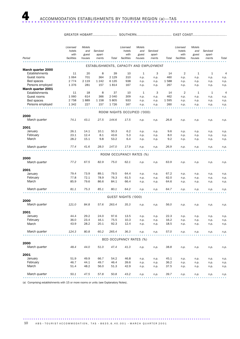GREATER HOBART.................... SOUTHERN............................. EAST COAST............................

|                           | Licensed<br>hotels<br>with | Motels<br>and<br>guest | Serviced<br>apart- |                 | Licensed<br>hotels<br>with  | Motels<br>and<br>guest | Serviced<br>apart-                      |             | Licensed<br>hotels<br>with | Motels<br>and<br>guest | Serviced<br>apart- |                |
|---------------------------|----------------------------|------------------------|--------------------|-----------------|-----------------------------|------------------------|-----------------------------------------|-------------|----------------------------|------------------------|--------------------|----------------|
| Period                    | facilities                 | houses                 | ments              | Total           | facilities                  | houses                 | ments                                   | Total       | facilities                 | houses                 | ments              | Total          |
|                           |                            |                        |                    |                 |                             |                        | ESTABLISHMENTS, CAPACITY AND EMPLOYMENT |             |                            |                        |                    |                |
| March quarter 2000        |                            |                        |                    |                 |                             |                        |                                         |             |                            |                        |                    |                |
| Establishments            | 11                         | 20                     | 8                  | 39              | 10                          | 1                      | 3                                       | 14          | $\overline{2}$             | 1                      | 1                  | 4              |
| Guest rooms               | 1 0 6 4                    | 701                    | 364                | 2 1 2 9         | 310                         | n.p.                   | n.p.                                    | 460         | n.p.                       | n.p.                   | n.p.               | n.p.           |
| Bed spaces                | 2 7 7 4                    | 2 1 1 9                | 1 2 4 2            | 6 1 3 5         | 938                         | n.p.                   | n.p.                                    | 1588        | n.p.                       | n.p.                   | n.p.               | n.p.           |
| Persons employed          | 1376                       | 281                    | 157                | 1814            | 167                         | n.p.                   | n.p.                                    | 267         | n.p.                       | n.p.                   | n.p.               | n.p.           |
| March quarter 2001        |                            |                        |                    |                 |                             |                        |                                         |             |                            |                        |                    |                |
| Establishments            | 11                         | 18                     | 8                  | 37              | 10                          | 1                      | 3                                       | 14          | $\overline{2}$             | 1                      | 1                  | $\overline{4}$ |
| Guest rooms<br>Bed spaces | 1 0 6 0<br>2 7 5 8         | 614<br>1889            | 366<br>1 1 5 8     | 2 0 4 0<br>5805 | 309<br>933                  | n.p.<br>n.p.           | n.p.<br>n.p.                            | 462<br>1595 | n.p.<br>n.p.               | n.p.<br>n.p.           | n.p.<br>n.p.       | n.p.<br>n.p.   |
| Persons employed          | 1 3 4 2                    | 227                    | 157                | 1726            | 167                         | n.p.                   | n.p.                                    | 260         | n.p.                       | n.p.                   | n.p.               | n.p.           |
|                           |                            |                        |                    |                 |                             |                        |                                         |             |                            |                        |                    |                |
|                           |                            |                        |                    |                 | ROOM NIGHTS OCCUPIED ('000) |                        |                                         |             |                            |                        |                    |                |
| 2000                      |                            |                        |                    |                 |                             |                        |                                         |             |                            |                        |                    |                |
| March quarter             | 74.1                       | 43.1                   | 27.5               | 144.6           | 17.5                        | n.p.                   | n.p.                                    | 26.8        | n.p.                       | n.p.                   | n.p.               | n.p.           |
|                           |                            |                        |                    |                 |                             |                        |                                         |             |                            |                        |                    |                |
| 2001<br>January           | 26.1                       | 14.1                   | 10.1               | 50.3            | 6.2                         | n.p.                   | n.p.                                    | 9.6         | n.p.                       | n.p.                   | n.p.               | n.p.           |
| February                  | 23.1                       | 12.4                   | 8.1                | 43.6            | 5.3                         | n.p.                   | n.p.                                    | 8.0         | n.p.                       | n.p.                   | n.p.               | n.p.           |
| March                     | 28.2                       | 15.1                   | 9.8                | 53.2            | 6.4                         | n.p.                   | n.p.                                    | 9.2         | n.p.                       | n.p.                   | n.p.               | n.p.           |
|                           |                            |                        |                    |                 |                             |                        |                                         |             |                            |                        |                    |                |
| March quarter             | 77.4                       | 41.6                   | 28.0               | 147.0           | 17.9                        | n.p.                   | n.p.                                    | 26.9        | n.p.                       | n.p.                   | n.p.               | n.p.           |
|                           |                            |                        |                    |                 |                             |                        |                                         |             |                            |                        |                    |                |
|                           |                            |                        |                    |                 | ROOM OCCUPANCY RATES (%)    |                        |                                         |             |                            |                        |                    |                |
| 2000<br>March quarter     | 77.2                       | 67.5                   | 82.9               | 75.0            | 62.1                        | n.p.                   | n.p.                                    | 63.9        | n.p.                       | n.p.                   | n.p.               | n.p.           |
|                           |                            |                        |                    |                 |                             |                        |                                         |             |                            |                        |                    |                |
| 2001                      |                            |                        |                    |                 |                             |                        |                                         |             |                            |                        |                    |                |
| January                   | 79.4                       | 73.9                   | 89.1               | 79.5            | 64.4                        | n.p.                   | n.p.                                    | 67.2        | n.p.                       | n.p.                   | n.p.               | n.p.           |
| February                  | 77.8                       | 72.1                   | 78.9               | 76.3            | 61.5                        | n.p.                   | n.p.                                    | 62.0        | n.p.                       | n.p.                   | n.p.               | n.p.           |
| March                     | 85.9                       | 79.6                   | 86.6               | 84.1            | 66.4                        | n.p.                   | n.p.                                    | 64.6        | n.p.                       | n.p.                   | n.p.               | n.p.           |
|                           |                            |                        |                    |                 |                             |                        |                                         |             |                            |                        |                    |                |
| March quarter             | 81.1                       | 75.3                   | 85.1               | 80.1            | 64.2                        | n.p.                   | n.p.                                    | 64.7        | n.p.                       | n.p.                   | n.p.               | n.p.           |
|                           |                            |                        |                    |                 | GUEST NIGHTS ('000)         |                        |                                         |             |                            |                        |                    |                |
| 2000                      |                            |                        |                    |                 |                             |                        |                                         |             |                            |                        |                    |                |
| March quarter             | 121.0                      | 84.8                   | 57.6               | 263.4           | 35.3                        | n.p.                   | n.p.                                    | 56.0        | n.p.                       | n.p.                   | n.p.               | n.p.           |
|                           |                            |                        |                    |                 |                             |                        |                                         |             |                            |                        |                    |                |
| 2001                      |                            |                        |                    |                 |                             |                        |                                         |             |                            |                        |                    |                |
| January                   | 44.4                       | 29.2                   | 24.0               | 97.6            | 13.5                        | n.p.                   | n.p.                                    | 22.3        | n.p.                       | n.p.                   | n.p.               | n.p.           |
| February<br>March         | 36.0                       | 23.4                   | 16.1               | 75.5<br>92.3    | 10.3<br>12.4                | n.p.                   | n.p.                                    | 16.2        | n.p.                       | n.p.                   | n.p.               | n.p.           |
|                           | 43.9                       | 28.2                   | 20.1               |                 |                             | n.p.                   | n.p.                                    | 18.5        | n.p.                       | n.p.                   | n.p.               | n.p.           |
| March quarter             | 124.3                      | 80.8                   | 60.2               | 265.4           | 36.3                        | n.p.                   | n.p.                                    | 57.0        | n.p.                       | n.p.                   | n.p.               | n.p.           |
|                           |                            |                        |                    |                 |                             |                        |                                         |             |                            |                        |                    |                |
|                           |                            |                        |                    |                 | BED OCCUPANCY RATES (%)     |                        |                                         |             |                            |                        |                    |                |
| 2000                      |                            |                        |                    |                 |                             |                        |                                         |             |                            |                        |                    |                |
| March quarter             | 48.4                       | 44.0                   | 51.0               | 47.4            | 41.3                        | n.p.                   | n.p.                                    | 38.8        | n.p.                       | n.p.                   | n.p.               | n.p.           |
| 2001                      |                            |                        |                    |                 |                             |                        |                                         |             |                            |                        |                    |                |
| January                   | 51.9                       | 49.9                   | 66.7               | 54.2            | 46.8                        | n.p.                   | n.p.                                    | 45.1        | n.p.                       | n.p.                   | n.p.               | n.p.           |
| February                  | 46.7                       | 44.1                   | 49.7               | 46.4            | 39.6                        | n.p.                   | n.p.                                    | 36.2        | n.p.                       | n.p.                   | n.p.               | n.p.           |
| March                     | 51.4                       | 48.2                   | 56.0               | 51.3            | 42.9                        | n.p.                   | n.p.                                    | 37.5        | n.p.                       | n.p.                   | n.p.               | n.p.           |
|                           |                            |                        |                    |                 |                             |                        |                                         |             |                            |                        |                    |                |
| March quarter             | 50.1                       | 47.5                   | 57.8               | 50.8            | 43.2                        | n.p.                   | n.p.                                    | 39.7        | n.p.                       | n.p.                   | n.p.               | n.p.           |
|                           |                            |                        |                    |                 |                             |                        |                                         |             |                            |                        |                    |                |

(a) Comprising establishments with 15 or more rooms or units (see Explanatory Notes).

.......................................................................................... 10 A B S • TOURIST ACCOMMODATION, TAS • 8635.6.40.001 • MARCH QUARTER 2001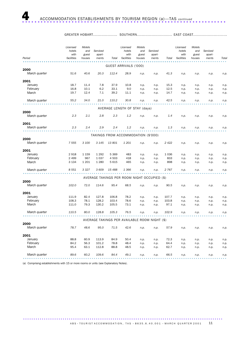|--|

|                       | Licensed<br>hotels<br>with<br>facilities | Motels<br>and<br>guest | Serviced<br>apart- |         | Licensed<br>hotels<br>with<br>facilities | <b>Motels</b><br>and<br>guest | Serviced<br>apart-                            |         | Licensed<br>hotels<br>with<br>facilities | Motels<br>and<br>guest | Serviced<br>apart- |       |
|-----------------------|------------------------------------------|------------------------|--------------------|---------|------------------------------------------|-------------------------------|-----------------------------------------------|---------|------------------------------------------|------------------------|--------------------|-------|
| Period                |                                          | houses                 | ments              | Total   |                                          | houses                        | ments                                         | Total   |                                          | houses                 | ments              | Total |
|                       |                                          |                        |                    |         | GUEST ARRIVALS ('000)                    |                               |                                               |         |                                          |                        |                    |       |
| 2000                  |                                          |                        |                    |         |                                          |                               |                                               |         |                                          |                        |                    |       |
| March quarter         | 51.6                                     | 40.6                   | 20.3               | 112.4   | 28.9                                     | n.p.                          | n.p.                                          | 41.3    | n.p.                                     | n.p.                   | n.p.               | n.p.  |
| 2001                  |                                          |                        |                    |         |                                          |                               |                                               |         |                                          |                        |                    |       |
| January               | 18.7                                     | 11.4                   | 7.8                | 37.9    | 10.8                                     | n.p.                          | n.p.                                          | 15.3    | n.p.                                     | n.p.                   | n.p.               | n.p.  |
| February              | 16.8                                     | 10.1                   | 6.2                | 33.1    | 9.0                                      | n.p.                          | n.p.                                          | 12.5    | n.p.                                     | n.p.                   | n.p.               | n.p.  |
| March                 | 19.7                                     | 12.4                   | 7.1                | 39.2    | 11.1                                     | n.p.                          | n.p.                                          | 14.7    | n.p.                                     | n.p.                   | n.p.               | n.p.  |
| March quarter         | 55.2                                     | 34.0                   | 21.0               | 110.2   | 30.8                                     | n.p.                          | n.p.                                          | 42.5    | n.p.                                     | n.p.                   | n.p.               | n.p.  |
|                       |                                          |                        |                    |         |                                          |                               |                                               |         |                                          |                        |                    |       |
| 2000                  |                                          |                        |                    |         | AVERAGE LENGTH OF STAY (days)            |                               |                                               |         |                                          |                        |                    |       |
| March quarter         | 2.3                                      | 2.1                    | 2.8                | 2.3     | 1.2                                      | n.p.                          | n.p.                                          | 1.4     | n.p.                                     | n.p.                   | n.p.               | n.p.  |
| 2001                  |                                          |                        |                    |         |                                          |                               |                                               |         |                                          |                        |                    |       |
| March quarter         | 2.3                                      | 2.4                    | 2.9                | 2.4     | 1.2                                      | n.p.                          | n.p.                                          | 1.3     | n.p.                                     | n.p.                   | n.p.               | n.p.  |
|                       |                                          |                        |                    |         | TAKINGS FROM ACCOMMODATION (\$'000)      |                               |                                               |         |                                          |                        |                    |       |
| 2000                  |                                          |                        |                    |         |                                          |                               |                                               |         |                                          |                        |                    |       |
| March quarter         | 7 5 5 5                                  | 3 100                  | 3 1 4 5            | 13 801  | 1 201                                    | n.p.                          | n.p.                                          | 2 4 2 2 | n.p.                                     | n.p.                   | n.p.               | n.p.  |
| 2001                  |                                          |                        |                    |         |                                          |                               |                                               |         |                                          |                        |                    |       |
| January               | 2918                                     | 1 1 5 9                | 1 2 9 2            | 5 3 6 9 | 483                                      | n.p.                          | n.p.                                          | 1 0 3 6 | n.p.                                     | n.p.                   | n.p.               | n.p.  |
| February              | 2 4 9 9                                  | 967                    | 1 0 3 7            | 4 5 0 3 | 418                                      | n.p.                          | n.p.                                          | 833     | n.p.                                     | n.p.                   | n.p.               | n.p.  |
| March                 | 3 1 3 4                                  | 1 2 0 1                | 1 2 8 0            | 5 6 1 5 | 465                                      | n.p.                          | n.p.                                          | 898     | n.p.                                     | n.p.                   | n.p.               | n.p.  |
| March quarter         | 8 5 5 1                                  | 3 3 2 7                | 3 609              | 15 488  | 1366                                     | n.p.                          | n.p.                                          | 2 767   | n.p.                                     | n.p.                   | n.p.               | n.p.  |
|                       |                                          |                        |                    |         |                                          |                               |                                               |         |                                          |                        |                    |       |
| 2000                  |                                          |                        |                    |         |                                          |                               | AVERAGE TAKINGS PER ROOM NIGHT OCCUPIED (\$)  |         |                                          |                        |                    |       |
| March quarter         | 102.0                                    | 72.0                   | 114.6              | 95.4    | 68.5                                     | n.p.                          | n.p.                                          | 90.5    | n.p.                                     | n.p.                   | n.p.               | n.p.  |
| 2001                  |                                          |                        |                    |         |                                          |                               |                                               |         |                                          |                        |                    |       |
| January               | 111.9                                    | 82.4                   | 127.8              | 106.8   | 78.2                                     | n.p.                          | n.p.                                          | 107.7   | n.p.                                     | n.p.                   | n.p.               | n.p.  |
| February              | 108.3                                    | 78.1                   | 128.2              | 103.4   | 78.6                                     | n.p.                          | n.p.                                          | 103.8   | n.p.                                     | n.p.                   | n.p.               | n.p.  |
| March                 | 111.0                                    | 79.3                   | 130.2              | 105.5   | 73.1                                     | n.p.                          | n.p.                                          | 97.1    | n.p.                                     | n.p.                   | n.p.               | n.p.  |
| March quarter         | 110.5                                    | 80.0                   | 128.8              | 105.3   | 76.5                                     | n.p.                          | n.p.                                          | 102.9   | n.p.                                     | n.p.                   | n.p.               | n.p.  |
|                       |                                          |                        |                    |         |                                          |                               |                                               |         |                                          |                        |                    |       |
|                       |                                          |                        |                    |         |                                          |                               | AVERAGE TAKINGS PER AVAILABLE ROOM NIGHT (\$) |         |                                          |                        |                    |       |
| 2000<br>March quarter | 78.7                                     | 48.6                   | 95.0               | 71.5    | 42.6                                     | n.p.                          | n.p.                                          | 57.9    | n.p.                                     | n.p.                   | n.p.               | n.p.  |
| 2001                  |                                          |                        |                    |         |                                          |                               |                                               |         |                                          |                        |                    |       |
| January               | 88.8                                     | 60.9                   | 113.9              | 84.9    | 50.4                                     | n.p.                          | n.p.                                          | 72.3    | n.p.                                     | n.p.                   | n.p.               | n.p.  |
| February              | 84.2                                     | 56.3                   | 101.2              | 78.8    | 48.4                                     | n.p.                          | n.p.                                          | 64.4    | n.p.                                     | n.p.                   | n.p.               | n.p.  |
| March                 | 95.4                                     | 63.1                   | 112.8              | 88.8    | 48.5                                     | n.p.                          | n.p.                                          | 62.7    | n.p.                                     | n.p.                   | n.p.               | n.p.  |
| March quarter         | 89.6                                     | 60.2                   | 109.6              | 84.4    | 49.1                                     | n.p.                          | n.p.                                          | 66.5    | n.p.                                     | n.p.                   | n.p.               | n.p.  |
|                       |                                          |                        |                    |         |                                          |                               |                                               |         |                                          |                        |                    |       |

(a) Comprising establishments with 15 or more rooms or units (see Explanatory Notes).

ABS  $\cdot$  TOURIST ACCOMMODATION, TAS  $\cdot$  8635.6.40.001  $\cdot$  MARCH QUARTER 2001 11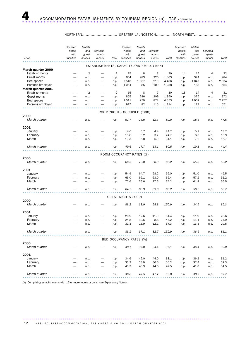### NORTHERN............................. GREATER LAUNCESTON............. NORTH WEST...........................

|                                      | Licensed<br>hotels<br>with | Motels<br>and<br>guest | Serviced<br>apart-                      |                | Licensed<br>hotels<br>with  | Motels<br>and<br>guest | Serviced<br>apart- |         | Licensed<br>hotels<br>with | Motels<br>and<br>guest | Serviced<br>apart- |              |
|--------------------------------------|----------------------------|------------------------|-----------------------------------------|----------------|-----------------------------|------------------------|--------------------|---------|----------------------------|------------------------|--------------------|--------------|
| Period                               | facilities                 | houses                 | ments                                   | Total          | facilities                  | houses                 | ments              | Total   | facilities                 | houses                 | ments              | Total        |
|                                      |                            |                        | ESTABLISHMENTS, CAPACITY AND EMPLOYMENT |                |                             |                        |                    |         |                            |                        |                    |              |
| March quarter 2000<br>Establishments | -                          | $\overline{2}$         | $\overline{\phantom{0}}$                | $\overline{2}$ | 15                          | 8                      | $\overline{7}$     | 30      | 14                         | 14                     | $\overline{4}$     | 32           |
| Guest rooms                          | $\overline{\phantom{0}}$   | n.p.                   |                                         | n.p.           | 854                         | 283                    | 226                | 1 3 6 3 | n.p.                       | 374                    | n.p.               | 984          |
| Bed spaces                           | $\overline{\phantom{0}}$   | n.p.                   | $\overline{\phantom{0}}$                | n.p.           | 2 5 4 0                     | 1 0 0 7                | 919                | 4 4 6 6 | n.p.                       | 1 0 4 7                | n.p.               | 2934         |
| Persons employed                     |                            | n.p.                   |                                         | n.p.           | 1 0 6 4                     | 85                     | 109                | 1 2 5 8 | n.p.                       | 163                    | n.p.               | 554          |
| March quarter 2001                   |                            |                        |                                         |                |                             |                        |                    |         |                            |                        |                    |              |
| Establishments                       | $\overline{\phantom{0}}$   | $\overline{2}$         | $\overline{\phantom{0}}$                | $\overline{2}$ | 15                          | 8                      | $\overline{7}$     | 30      | 13                         | 14                     | $\overline{4}$     | 31           |
| Guest rooms                          | $\overline{\phantom{0}}$   | n.p.                   |                                         | n.p.           | 855                         | 286                    | 209                | 1 3 5 0 | n.p.                       | 375                    | n.p.               | 972          |
| Bed spaces                           | $\overline{\phantom{0}}$   | n.p.                   |                                         | n.p.           | 2 5 1 1                     | 970                    | 872                | 4 3 5 3 | n.p.                       | 1 0 6 2                | n.p.               | 2 757        |
| Persons employed                     |                            | n.p.                   |                                         | n.p.           | 917                         | 82                     | 115                | 1 1 1 4 | n.p.                       | 177                    | n.p.               | 551          |
|                                      |                            |                        |                                         |                |                             |                        |                    |         |                            |                        |                    |              |
| 2000                                 |                            |                        |                                         |                | ROOM NIGHTS OCCUPIED ('000) |                        |                    |         |                            |                        |                    |              |
| March quarter                        |                            | n.p.                   |                                         | n.p.           | 51.7                        | 18.0                   | 12.3               | 82.0    | n.p.                       | 18.8                   | n.p.               | 47.6         |
|                                      |                            |                        |                                         |                |                             |                        |                    |         |                            |                        |                    |              |
| 2001                                 |                            |                        |                                         |                |                             |                        |                    |         |                            |                        |                    |              |
| January                              |                            | n.p.                   |                                         | n.p.           | 14.6                        | 5.7                    | 4.4                | 24.7    | n.p.                       | 5.9                    | n.p.               | 13.7         |
| February                             |                            | n.p.                   | $\overline{\phantom{0}}$                | n.p.           | 15.8                        | 5.2                    | 3.7                | 24.7    | n.p.                       | 6.0                    | n.p.               | 13.9         |
| March                                |                            | n.p.                   |                                         | n.p.           | 19.3                        | 6.8                    | 5.0                | 31.1    | n.p.                       | 7.2                    | n.p.               | 16.7         |
|                                      |                            |                        |                                         |                |                             |                        |                    |         |                            |                        |                    |              |
| March quarter                        |                            | n.p.                   |                                         | n.p.           | 49.6                        | 17.7                   | 13.1               | 80.5    | n.p.                       | 19.1                   | n.p.               | 44.4         |
|                                      |                            |                        |                                         |                |                             |                        |                    |         |                            |                        |                    |              |
| 2000                                 |                            |                        |                                         |                | ROOM OCCUPANCY RATES (%)    |                        |                    |         |                            |                        |                    |              |
| March quarter                        |                            | n.p.                   |                                         | n.p.           | 66.5                        | 70.0                   | 60.0               | 66.2    | n.p.                       | 55.3                   | n.p.               | 53.2         |
|                                      |                            |                        |                                         |                |                             |                        |                    |         |                            |                        |                    |              |
| 2001                                 |                            |                        |                                         |                |                             |                        |                    |         |                            |                        |                    |              |
| January                              |                            | n.p.                   |                                         | n.p.           | 54.9                        | 64.7                   | 68.2               | 59.0    | n.p.                       | 51.0                   | n.p.               | 45.5         |
| February                             |                            | n.p.                   | $\overline{\phantom{0}}$                | n.p.           | 66.0                        | 65.1                   | 63.0               | 65.4    | n.p.                       | 57.2                   | n.p.               | 51.2         |
| March                                |                            | n.p.                   |                                         | n.p.           | 72.6                        | 76.6                   | 77.5               | 74.2    | n.p.                       | 61.8                   | n.p.               | 55.5         |
|                                      |                            |                        |                                         |                |                             |                        |                    |         |                            |                        |                    |              |
| March quarter                        |                            | n.p.                   |                                         | n.p.           | 64.5                        | 68.9                   | 69.8               | 66.2    | n.p.                       | 56.6                   | n.p.               | 50.7         |
|                                      |                            |                        |                                         |                |                             |                        |                    |         |                            |                        |                    |              |
|                                      |                            |                        |                                         |                | GUEST NIGHTS ('000)         |                        |                    |         |                            |                        |                    |              |
| 2000                                 |                            |                        |                                         |                |                             |                        |                    | 150.9   |                            |                        |                    |              |
| March quarter                        |                            | n.p.                   |                                         | n.p.           | 88.2                        | 33.9                   | 28.8               |         | n.p.                       | 34.6                   | n.p.               | 85.3         |
| 2001                                 |                            |                        |                                         |                |                             |                        |                    |         |                            |                        |                    |              |
| January                              |                            | n.p.                   |                                         | n.p.           | 26.9                        | 12.6                   | 11.9               | 51.4    | n.p.                       | 11.9                   | n.p.               | 26.6         |
| February                             |                            | n.p.                   |                                         | n.p.           | 24.8                        | 10.6                   | 8.8                | 44.2    | n.p.                       | 11.1                   | n.p.               | 24.9         |
| March                                |                            | n.p.                   |                                         | n.p.           | 31.3                        | 13.9                   | 12.1               | 57.3    | n.p.                       | 13.5                   | n.p.               | 29.5         |
|                                      |                            |                        |                                         |                |                             |                        |                    |         |                            |                        |                    |              |
| March quarter                        |                            | n.p.                   |                                         | n.p.           | 83.1                        | 37.1                   | 32.7               | 152.9   | n.p.                       | 36.5                   | n.p.               | 81.1         |
|                                      |                            |                        |                                         |                |                             |                        |                    |         |                            |                        |                    |              |
|                                      |                            |                        |                                         |                | BED OCCUPANCY RATES (%)     |                        |                    |         |                            |                        |                    |              |
| 2000                                 |                            |                        |                                         |                |                             |                        |                    |         |                            |                        |                    |              |
| March quarter                        |                            | n.p.                   |                                         | n.p.           | 38.1                        | 37.0                   | 34.4               | 37.1    | n.p.                       | 36.4                   | n.p.               | 32.0         |
|                                      |                            |                        |                                         |                |                             |                        |                    |         |                            |                        |                    |              |
| 2001<br>January                      |                            |                        |                                         |                | 34.6                        | 42.0                   | 44.0               | 38.1    |                            | 36.2                   |                    |              |
| February                             |                            | n.p.<br>n.p.           |                                         | n.p.<br>n.p.   | 35.3                        | 38.9                   | 36.0               | 36.2    | n.p.<br>n.p.               | 37.4                   | n.p.<br>n.p.       | 31.2<br>32.3 |
| March                                |                            | n.p.                   |                                         | n.p.           | 40.3                        | 46.3                   | 44.6               | 42.5    | n.p.                       | 41.0                   | n.p.               | 34.5         |
|                                      |                            |                        |                                         |                |                             |                        |                    |         |                            |                        |                    |              |
| March quarter                        |                            | n.p.                   |                                         | n.p.           | 36.8                        | 42.5                   | 41.7               | 39.0    | n.p.                       | 38.2                   | n.p.               | 32.7         |
|                                      |                            |                        |                                         |                |                             |                        |                    |         |                            |                        |                    |              |

(a) Comprising establishments with 15 or more rooms or units (see Explanatory Notes).

.......................................................................................... 12 A B S • TOURIST ACCOMMODATION, TAS • 8635.6.40.001 • MARCH QUARTER 2001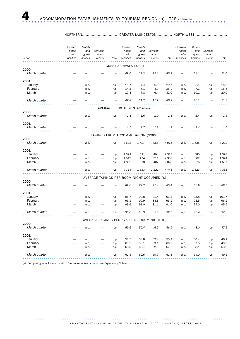| NORTHERN |  | GREATER LAUNCESTON NORTH WEST |
|----------|--|-------------------------------|
|----------|--|-------------------------------|

| Period                | Licensed<br>hotels<br>with<br>facilities | Motels<br>and<br>guest<br>houses | Serviced<br>apart-<br>ments                   | Total | Licensed<br>hotels<br>with<br>facilities | Motels<br>and<br>guest<br>houses | Serviced<br>apart-<br>ments | Total   | Licensed<br>hotels<br>with<br>facilities | Motels<br>and<br>guest<br>houses | Serviced<br>apart-<br>ments | Total   |
|-----------------------|------------------------------------------|----------------------------------|-----------------------------------------------|-------|------------------------------------------|----------------------------------|-----------------------------|---------|------------------------------------------|----------------------------------|-----------------------------|---------|
|                       |                                          |                                  |                                               |       |                                          |                                  |                             |         |                                          |                                  |                             |         |
| 2000                  |                                          |                                  |                                               |       | GUEST ARRIVALS ('000)                    |                                  |                             |         |                                          |                                  |                             |         |
| March quarter         |                                          | n.p.                             |                                               | n.p.  | 49.6                                     | 21.3                             | 15.1                        | 85.9    | n.p.                                     | 24.1                             | n.p.                        | 53.0    |
| 2001                  |                                          |                                  |                                               |       |                                          |                                  |                             |         |                                          |                                  |                             |         |
| January               |                                          | n.p.                             |                                               | n.p.  | 15.7                                     | 7.4                              | 6.6                         | 29.7    | n.p.                                     | 8.4                              | n.p.                        | 15.9    |
| February              |                                          | n.p.                             |                                               | n.p.  | 14.3                                     | 6.1                              | 4.9                         | 25.2    | n.p.                                     | 7.6                              | n.p.                        | 15.5    |
| March                 |                                          | n.p.                             |                                               | n.p.  | 17.8                                     | 7.8                              | 6.4                         | 32.0    | n.p.                                     | 10.1                             | n.p.                        | 20.0    |
| March quarter         |                                          | n.p.                             |                                               | n.p.  | 47.8                                     | 21.2                             | 17.9                        | 86.9    | n.p.                                     | 26.1                             | n.p.                        | 51.3    |
|                       |                                          |                                  |                                               |       | AVERAGE LENGTH OF STAY (days)            |                                  |                             |         |                                          |                                  |                             |         |
| 2000                  |                                          |                                  |                                               |       |                                          |                                  |                             |         |                                          |                                  |                             |         |
| March quarter         |                                          | n.p.                             |                                               | n.p.  | 1.8                                      | 1.6                              | 1.9                         | 1.8     | n.p.                                     | 1.4                              | n.p.                        | 1.6     |
| 2001                  |                                          |                                  |                                               |       |                                          |                                  |                             |         |                                          |                                  |                             |         |
| March quarter         |                                          | n.p.                             |                                               | n.p.  | 1.7                                      | 1.7                              | 1.8                         | 1.8     | n.p.                                     | 1.4                              | n.p.                        | 1.6     |
|                       |                                          |                                  | TAKINGS FROM ACCOMMODATION (\$'000)           |       |                                          |                                  |                             |         |                                          |                                  |                             |         |
| 2000                  |                                          |                                  |                                               |       |                                          |                                  |                             |         |                                          |                                  |                             |         |
| March quarter         |                                          | n.p.                             |                                               | n.p.  | 4628                                     | 1427                             | 956                         | 7011    | n.p.                                     | 1635                             | n.p.                        | 4 2 2 2 |
| 2001                  |                                          |                                  |                                               |       |                                          |                                  |                             |         |                                          |                                  |                             |         |
| January               |                                          | n.p.                             |                                               | n.p.  | 1 3 9 2                                  | 521                              | 404                         | 2 3 1 7 | n.p.                                     | 585                              | n.p.                        | 1 3 9 3 |
| February              |                                          | n.p.                             |                                               | n.p.  | 1519                                     | 474                              | 311                         | 2 3 0 3 | n.p.                                     | 562                              | n.p.                        | 1 3 4 1 |
| March                 |                                          | n.p.                             |                                               | n.p.  | 1802                                     | 618                              | 407                         | 2828    | n.p.                                     | 676                              | n.p.                        | 1597    |
| March quarter         |                                          | n.p.                             |                                               | n.p.  | 4 7 1 4                                  | 1613                             | 1 1 2 2                     | 7448    | n.p.                                     | 1823                             | n.p.                        | 4 3 3 1 |
|                       |                                          |                                  | AVERAGE TAKINGS PER ROOM NIGHT OCCUPIED (\$)  |       |                                          |                                  |                             |         |                                          |                                  |                             |         |
| 2000                  |                                          |                                  |                                               |       |                                          |                                  |                             |         |                                          |                                  |                             |         |
| March quarter         |                                          | n.p.                             |                                               | n.p.  | 89.6                                     | 79.2                             | 77.4                        | 85.4    | n.p.                                     | 86.9                             | n.p.                        | 88.7    |
| 2001                  |                                          |                                  |                                               |       |                                          |                                  |                             |         |                                          |                                  |                             |         |
| January               |                                          | n.p.                             |                                               | n.p.  | 95.7                                     | 90.8                             | 91.4                        | 93.8    | n.p.                                     | 98.8                             | n.p.                        | 101.7   |
| February              |                                          | n.p.                             |                                               | n.p.  | 96.1                                     | 90.9                             | 84.3                        | 93.2    | n.p.                                     | 93.5                             | n.p.                        | 96.2    |
| March                 |                                          | n.p.                             |                                               | n.p.  | 93.6                                     | 91.0                             | 81.1                        | 91.0    | n.p.                                     | 94.0                             | n.p.                        | 95.5    |
| March quarter         |                                          | n.p.                             |                                               | n.p.  | 95.0                                     | 90.9                             | 85.5                        | 92.5    | n.p.                                     | 95.4                             | n.p.                        | 97.6    |
|                       |                                          |                                  |                                               |       |                                          |                                  |                             |         |                                          |                                  |                             |         |
|                       |                                          |                                  | AVERAGE TAKINGS PER AVAILABLE ROOM NIGHT (\$) |       |                                          |                                  |                             |         |                                          |                                  |                             |         |
| 2000<br>March quarter |                                          | n.p.                             |                                               | n.p.  | 59.6                                     | 55.4                             | 46.5                        | 56.5    | n.p.                                     | 48.0                             | n.p.                        | 47.1    |
| 2001                  |                                          |                                  |                                               |       |                                          |                                  |                             |         |                                          |                                  |                             |         |
| January               |                                          | n.p.                             |                                               | n.p.  | 52.5                                     | 58.8                             | 62.4                        | 55.4    | n.p.                                     | 50.4                             | n.p.                        | 46.2    |
| February              |                                          | n.p.                             |                                               | n.p.  | 63.5                                     | 59.1                             | 53.1                        | 60.9    | n.p.                                     | 53.5                             | n.p.                        | 49.3    |
| March                 |                                          | n.p.                             |                                               | n.p.  | 68.0                                     | 69.7                             | 62.9                        | 67.6    | n.p.                                     | 58.1                             | n.p.                        | 53.0    |
| March quarter         |                                          | n.p.                             |                                               | n.p.  | 61.3                                     | 62.6                             | 59.7                        | 61.3    | n.p.                                     | 54.0                             | n.p.                        | 49.5    |
|                       |                                          |                                  |                                               |       |                                          |                                  |                             |         |                                          |                                  |                             |         |

(a) Comprising establishments with 15 or more rooms or units (see Explanatory Notes).

ABS  $\cdot$  TOURIST ACCOMMODATION, TAS  $\cdot$  8635.6.40.001  $\cdot$  MARCH QUARTER 2001 13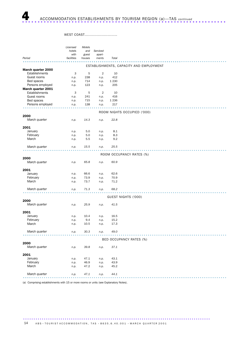# WEST COAST...........................

|                    | Licensed   | Motels       |                |              |                                         |
|--------------------|------------|--------------|----------------|--------------|-----------------------------------------|
|                    | hotels     | and          | Serviced       |              |                                         |
|                    | with       | guest        | apart-         |              |                                         |
| Period             | facilities | houses       | ments          | Total        |                                         |
|                    |            |              |                |              | ESTABLISHMENTS, CAPACITY AND EMPLOYMENT |
| March quarter 2000 |            |              |                |              |                                         |
| Establishments     | 3          | 5            | $\overline{2}$ | 10           |                                         |
| Guest rooms        | n.p.       | 238          | n.p.           | 412          |                                         |
| Bed spaces         | n.p.       | 714          | n.p.           | 1 2 3 0      |                                         |
| Persons employed   | n.p.       | 123          | n.p.           | 205          |                                         |
| March quarter 2001 |            |              |                |              |                                         |
| Establishments     | 3          | 5            | $\overline{2}$ | 10           |                                         |
| Guest rooms        | n.p.       | 241          | n.p.           | 416          |                                         |
| Bed spaces         | n.p.       | 715          | n.p.           | 1 2 3 6      |                                         |
| Persons employed   | n.p.       | 138          | n.p.           | 217          |                                         |
|                    |            |              |                |              |                                         |
|                    |            |              |                |              | ROOM NIGHTS OCCUPIED ('000)             |
| 2000               |            |              |                |              |                                         |
| March quarter      | n.p.       | 14.3         | n.p.           | 22.8         |                                         |
| 2001               |            |              |                |              |                                         |
| January            | n.p.       | 5.0          | n.p.           | 8.1          |                                         |
| February           | n.p.       | 5.0          | n.p.           | 8.3          |                                         |
| March              | n.p.       | 5.5          | n.p.           | 9.2          |                                         |
|                    |            |              |                |              |                                         |
| March quarter      | n.p.       | 15.5         | n.p.           | 25.5         |                                         |
|                    |            |              |                |              |                                         |
|                    |            |              |                |              | ROOM OCCUPANCY RATES (%)                |
| 2000               |            |              |                |              |                                         |
| March quarter      | n.p.       | 65.8         | n.p.           | 60.9         |                                         |
|                    |            |              |                |              |                                         |
| 2001               |            |              |                |              |                                         |
| January            | n.p.       | 66.6         | n.p.           | 62.6         |                                         |
| February<br>March  | n.p.       | 73.9<br>73.7 | n.p.           | 70.9<br>71.2 |                                         |
|                    | n.p.       |              | n.p.           |              |                                         |
| March quarter      | n.p.       | 71.3         | n.p.           | 68.2         |                                         |
|                    |            |              |                |              |                                         |
|                    |            |              |                |              | GUEST NIGHTS ('000)                     |
| 2000               |            |              |                |              |                                         |
| March quarter      | n.p.       | 25.9         | n.p.           | 41.5         |                                         |
|                    |            |              |                |              |                                         |
| 2001               |            |              |                |              |                                         |
| January            | n.p.       | 10.4         | n.p.           | 16.5         |                                         |
| February           | n.p.       | 9.4          | n.p.           | 15.2         |                                         |
| March              | n.p.       | 10.5         | n.p.           | 17.3         |                                         |
| March quarter      |            | 30.3         |                | 49.0         |                                         |
|                    | n.p.       |              | n.p.           |              |                                         |
|                    |            |              |                |              | BED OCCUPANCY RATES (%)                 |
| 2000               |            |              |                |              |                                         |
| March quarter      | n.p.       | 39.8         | n.p.           | 37.1         |                                         |
|                    |            |              |                |              |                                         |
| 2001               |            |              |                |              |                                         |
| January            | n.p.       | 47.1         | n.p.           | 43.1         |                                         |
| February           | n.p.       | 46.9         | n.p.           | 43.9         |                                         |
| March              | n.p.       | 47.2         | n.p.           | 45.2         |                                         |
|                    |            |              |                |              |                                         |
| March quarter      | n.p.       | 47.1         | n.p.           | 44.1         |                                         |
|                    |            |              |                |              |                                         |

(a) Comprising establishments with 15 or more rooms or units (see Explanatory Notes).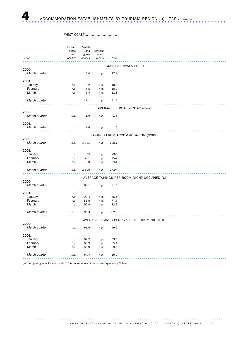# WEST COAST...........................

|                   | Licensed   | Motels  |          |              |                                               |
|-------------------|------------|---------|----------|--------------|-----------------------------------------------|
|                   | hotels     | and     | Serviced |              |                                               |
|                   | with       | guest   | apart-   |              |                                               |
| Period            | facilities | houses  | ments    | Total        |                                               |
|                   |            |         |          |              |                                               |
| 2000              |            |         |          |              | GUEST ARRIVALS ('000)                         |
| March quarter     | n.p.       | 16.0    | n.p.     | 27.1         |                                               |
|                   |            |         |          |              |                                               |
| 2001              |            |         |          |              |                                               |
| January           | n.p.       | 6.2     | n.p.     | 10.2         |                                               |
| February          | n.p.       | 6.5     | n.p.     | 10.2         |                                               |
| March             | n.p.       | 6.4     | n.p.     | 11.3         |                                               |
|                   |            |         |          |              |                                               |
| March quarter     | n.p.       | 19.1    | n.p.     | 31.6         |                                               |
|                   |            |         |          |              |                                               |
|                   |            |         |          |              | AVERAGE LENGTH OF STAY (days)                 |
| 2000              |            |         |          |              |                                               |
| March quarter     | n.p.       | 1.6     | n.p.     | 1.5          |                                               |
| 2001              |            |         |          |              |                                               |
| March quarter     | n.p.       | 1.6     | n.p.     | 1.6          |                                               |
|                   |            |         |          |              |                                               |
|                   |            |         |          |              | TAKINGS FROM ACCOMMODATION (\$'000)           |
| 2000              |            |         |          |              |                                               |
| March quarter     | n.p.       | 1341    | n.p.     | 1861         |                                               |
|                   |            |         |          |              |                                               |
| 2001<br>January   |            | 465     |          | 690          |                                               |
|                   | n.p.       | 431     | n.p.     | 642          |                                               |
| February<br>March | n.p.       | 500     | n.p.     | 761          |                                               |
|                   | n.p.       |         | n.p.     |              |                                               |
| March quarter     | n.p.       | 1 3 9 6 | n.p.     | 2094         |                                               |
|                   |            |         |          |              |                                               |
|                   |            |         |          |              | AVERAGE TAKINGS PER ROOM NIGHT OCCUPIED (\$)  |
| 2000              |            |         |          |              |                                               |
| March quarter     | n.p.       | 94.1    | n.p.     | 81.6         |                                               |
|                   |            |         |          |              |                                               |
| 2001              |            |         |          |              |                                               |
| January           | n.p.       | 93.4    | n.p.     | 85.5         |                                               |
| February          | n.p.       | 86.5    | n.p.     | 77.7         |                                               |
| March             | n.p.       | 90.9    | n.p.     | 82.9         |                                               |
| March quarter     | n.p.       | 90.3    | n.p.     | 82.0         |                                               |
|                   |            |         |          |              |                                               |
|                   |            |         |          |              | AVERAGE TAKINGS PER AVAILABLE ROOM NIGHT (\$) |
| 2000              |            |         |          |              |                                               |
| March quarter     | n.p.       | 61.9    | n.p.     | 49.6         |                                               |
|                   |            |         |          |              |                                               |
| 2001              |            |         |          |              |                                               |
| January           | n.p.       | 62.2    | n.p.     | 53.5<br>55.1 |                                               |
|                   |            |         |          |              |                                               |
| February          | n.p.       | 63.9    | n.p.     |              |                                               |
| March             | n.p.       | 66.9    | n.p.     | 59.0         |                                               |
| March quarter     | n.p.       | 64.4    | n.p.     | 55.9         |                                               |

(a) Comprising establishments with 15 or more rooms or units (see Explanatory Notes).

ABS  $\cdot$  TOURIST ACCOMMODATION, TAS  $\cdot$  8635.6.40.001  $\cdot$  MARCH QUARTER 2001 15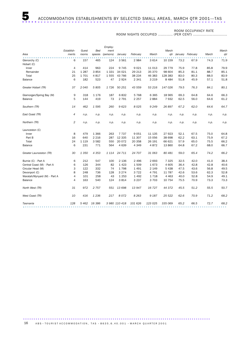ROOM OCCUPANCY RATE

 ROOM NIGHTS OCCUPIED ............ (PER CENT) ............................

|                              |            |         |            | Employ-   |               |          |         |          |      |                      |       |       |
|------------------------------|------------|---------|------------|-----------|---------------|----------|---------|----------|------|----------------------|-------|-------|
|                              | Establish- | Guest   | <b>Bed</b> | ment      |               |          |         | March    |      |                      |       | March |
| Area                         | ments      | rooms   | spaces     | (persons) | January       | February | March   |          |      | gtr January February | March | qtr   |
| Glenorchy (C)                | 6          | 157     | 465        | 124       | 3561          | 2984     | 3614    | 10 159   | 73.2 | 67.9                 | 74.3  | 71.9  |
| Hobart (C)                   |            |         |            |           |               |          |         |          |      |                      |       |       |
| Inner                        | 4          | 414     | 963        | 224       | 9 7 4 5       | 9 0 2 1  | 11 013  | 29 7 7 9 | 75.9 | 77.8                 | 85.8  | 79.9  |
| Remainder                    | 21         | 1 2 8 7 | 3854       | 1 3 3 1   | 34 0 21       | 29 213   | 35 370  | 98 604   | 85.3 | 81.1                 | 88.7  | 85.1  |
| Total                        | 25         | 1701    | 4817       | 1555      | 43 766        | 38 234   | 46 383  | 128 383  | 83.0 | 80.3                 | 88.0  | 83.9  |
| Balance                      | 6          | 182     | 523        | 47        | 2924          | 2 3 4 1  | 3 2 1 9 | 8 4 8 4  | 51.8 | 45.9                 | 57.1  | 51.8  |
| Greater Hobart (TR)          | 37         | 2040    | 5805       | 1726      | 50 251        | 43 559   | 53 216  | 147 026  | 79.5 | 76.3                 | 84.1  | 80.1  |
| Glamorgan/Spring Bay (M)     | 9          | 318     | 1 1 7 6    | 187       | 6832          | 5768     | 6 3 6 5 | 18 965   | 69.3 | 64.8                 | 64.6  | 66.3  |
| Balance                      | 5          | 144     | 419        | 73        | 2 7 9 1       | 2 2 5 7  | 2884    | 7932     | 62.5 | 56.0                 | 64.6  | 61.2  |
| Southern (TR)                | 14         | 462     | 1 5 9 5    | 260       | 9623          | 8025     | 9 2 4 9 | 26897    | 67.2 | 62.0                 | 64.6  | 64.7  |
| East Coast (TR)              | 4          | n.p.    | n.p.       | n.p.      | n.p.          | n.p.     | n.p.    | n.p.     | n.p. | n.p.                 | n.p.  | n.p.  |
| Northern (TR)                | 2          | n.p.    | n.p.       | n.p.      | n.p.          | n.p.     | n.p.    | n.p.     | n.p. | n.p.                 | n.p.  | n.p.  |
| Launceston (C)               |            |         |            |           |               |          |         |          |      |                      |       |       |
| Inner                        | 8          | 479     | 1 3 6 6    | 263       | 7 7 3 7       | 9051     | 11 135  | 27923    | 52.1 | 67.5                 | 75.0  | 64.8  |
| Part B                       | 16         | 640     | 2 2 1 6    | 287       | 12 3 35       | 11 307   | 15 0 56 | 38 698   | 62.2 | 63.1                 | 75.9  | 67.2  |
| Total                        | 24         | 1 1 1 9 | 3582       | 550       | 20 072        | 20 358   | 26 191  | 66 621   | 57.9 | 65.0                 | 75.5  | 66.2  |
| Balance                      | 6          | 231     | 771        | 564       | 4 6 3 9       | 4 3 4 9  | 4872    | 13 860   | 64.8 | 67.2                 | 68.0  | 66.7  |
| Greater Launceston (TR)      | 30         | 1 3 5 0 | 4 3 5 3    | 1 1 1 4   | 24 711        | 24 707   | 31 063  | 80 481   | 59.0 | 65.4                 | 74.2  | 66.2  |
| Burnie (C) - Part A          | 6          | 212     | 547        | 100       | 2 1 3 6       | 2 4 9 6  | 2 6 9 3 | 7 3 2 5  | 32.5 | 42.0                 | 41.0  | 38.4  |
| Central Coast (M) - Part A   | 6          | 126     | 344        | 82        | 1 4 2 3       | 1509     | 1673    | 4 6 0 5  | 36.4 | 42.8                 | 42.8  | 40.6  |
| Circular Head (M)            | 3          | 122     | 332        | 74        | 1798          | 1 4 9 1  | 2 1 4 9 | 5 4 3 8  | 47.5 | 43.6                 | 56.8  | 49.5  |
| Devonport (C)                | 8          | 248     | 736        | 128       | 3 2 7 4       | 3722     | 4 7 9 1 | 11 787   | 42.6 | 53.6                 | 62.3  | 52.8  |
| Waratah/Wynyard (M) - Part A | 4          | 101     | 258        | 43        | 1 2 5 3       | 1492     | 1718    | 4 4 6 3  | 40.0 | 52.8                 | 54.9  | 49.1  |
| Balance                      | 4          | 163     | 540        | 124       | 3814          | 3 2 3 7  | 3 7 0 3 | 10 754   | 75.5 | 70.9                 | 73.3  | 73.3  |
| North West (TR)              | 31         | 972     | 2 7 5 7    | 551       | 13 698        | 13 947   | 16 727  | 44 372   | 45.5 | 51.2                 | 55.5  | 50.7  |
| West Coast (TR)              | 10         | 416     | 1 2 3 6    | 217       | 8072          | 8 2 6 3  | 9 1 8 7 | 25 5 22  | 62.6 | 70.9                 | 71.2  | 68.2  |
| Tasmania                     | 128        | 5462    | 16 386     |           | 3 980 110 418 | 101 626  | 123 025 | 335 069  | 65.2 | 66.5                 | 72.7  | 68.2  |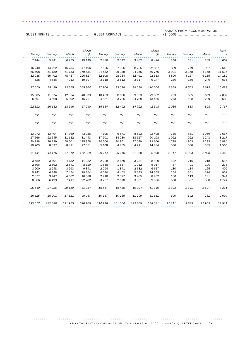GUEST ARRIVALS .............................. TAKINGS FROM ACCOMMODATION (\$ '000) .........................................

GUEST NIGHTS .................................

|                   |                   |                  | March             |                  |                  |                   | March             |                |            |                    | March           |
|-------------------|-------------------|------------------|-------------------|------------------|------------------|-------------------|-------------------|----------------|------------|--------------------|-----------------|
| January           | February          | March            | qtr               | January          | February         | March             | qtr               | January        | February   | March              | qtr             |
| 7 1 4 4           | 5 2 4 1           | 6755             | 19 140            | 2 4 8 0          | 2 5 4 2          | 3 4 0 2           | 8 4 2 4           | 248            | 181        | 239                | 669             |
|                   |                   |                  |                   |                  |                  |                   |                   |                |            |                    |                 |
| 16 240            | 14 222            | 16 734           | 47 196            | 7 5 2 6          | 7096             | 8 2 3 5           | 22 857            | 899            | 779        | 967                | 2 6 4 6         |
| 66 698            | 51 180            | 61 753           | 179 631           | 24 5 82          | 20 938           | 24 25 6           | 69 7 7 6          | 3 9 9 1        | 3 3 7 8    | 4 1 6 8            | 11 537          |
| 82 938            | 65 402            | 78 487           | 226 827           | 32 108           | 28 034           | 32 491            | 92 633            | 4 8 9 0        | 4 1 5 7    | 5 1 3 5            | 14 182          |
| 7 5 28            | 4856              | 7 0 1 3          | 19 397            | 3 3 1 8          | 2 5 1 2          | 3 3 1 7           | 9 1 4 7           | 230            | 166        | 240                | 636             |
| 97 610            | 75 499            | 92 255           | 265 364           | 37 906           | 33 088           | 39 210            | 110 204           | 5 3 6 9        | 4 5 0 3    | 5 6 1 5            | 15 488          |
| 15 805            | 11 674            | 12 854           | 40 333            | 10 453           | 8696             | 9933              | 29 082            | 793            | 635        | 659                | 2 0 8 7         |
| 6507              | 4 5 0 8           | 5 6 9 2          | 16 707            | 4881             | 3796             | 4 7 8 9           | 13 4 66           | 243            | 198        | 239                | 680             |
| 22 312            | 16 182            | 18 546           | 57 040            | 15 334           | 12 492           | 14 722            | 42 548            | 1036           | 833        | 898                | 2 7 6 7         |
| n.p.              | n.p.              | n.p.             | n.p.              | n.p.             | n.p.             | n.p.              | n.p.              | n.p.           | n.p.       | n.p.               | n.p.            |
| n.p.              | n.p.              | n.p.             | n.p.              | n.p.             | n.p.             | n.p.              | n.p.              | n.p.           | n.p.       | n.p.               | n.p.            |
|                   |                   |                  |                   |                  |                  |                   |                   |                |            |                    |                 |
| 13 0 72<br>27 666 | 13 4 94<br>22 645 | 17 369           | 43 935            | 7 1 0 5          | 6871             | 8522              | 22 4 98<br>50 108 | 735<br>1 0 5 2 | 881<br>922 | 1 0 5 0<br>1 2 4 3 | 2667<br>3 2 1 7 |
| 40 738            | 36 139            | 31 132<br>48 501 | 81 443<br>125 378 | 17 501<br>24 606 | 14 080<br>20 951 | 18 5 27<br>27 049 | 72 606            | 1788           | 1803       | 2 2 9 3            | 5884            |
| 10 703            | 8 0 3 7           | 8 8 1 1          | 27 551            | 5 1 0 8          | 4 2 6 5          | 4911              | 14 284            | 530            | 500        | 535                | 1565            |
|                   |                   |                  |                   |                  |                  |                   |                   |                |            |                    |                 |
| 51 441            | 44 176            | 57 312           | 152 929           | 29 714           | 25 216           | 31 960            | 86 890            | 2 3 1 7        | 2 3 0 3    | 2828               | 7448            |
| 3 5 5 9           | 3 6 9 1           | 4 1 3 2          | 11 3 82           | 2 2 2 8          | 2 6 5 0          | 3 2 3 1           | 8 1 0 9           | 182            | 216        | 218                | 616             |
| 2896              | 2 5 9 2           | 2841             | 8 3 2 9           | 1568             | 1537             | 1912              | 5017              | 87             | 91         | 100                | 278             |
| 3 2 0 0           | 2 5 4 8           | 3 5 9 3          | 9 3 4 1           | 2 0 9 4          | 1841             | 2 6 8 2           | 6 6 1 7           | 130            | 114        | 165                | 409             |
| 5 7 4 2           | 6 1 4 8           | 7474             | 19 3 64           | 4 2 7 0          | 4 4 5 2          | 5 6 4 3           | 14 3 65           | 264            | 301        | 394                | 959             |
| 2877              | 3 4 4 7           | 4 0 6 2          | 10 386            | 2 4 1 0          | 2 3 2 7          | 3 4 6 5           | 8 2 0 2           | 100            | 113        | 131                | 344             |
| 8 3 6 6           | 6 4 9 9           | 7 4 1 7          | 22 28 2           | 3 2 9 7          | 2678             | 3 0 6 1           | 9036              | 630            | 507        | 588                | 1724            |
| 26 640            | 24 9 25           | 29 519           | 81 084            | 15867            | 15 4 85          | 19 994            | 51 346            | 1 3 9 3        | 1341       | 1597               | 4331            |
| 16 5 25           | 15 201            | 17311            | 49 037            | 10 167           | 10 165           | 11 299            | 31 631            | 690            | 642        | 761                | 2094            |
| 223 617           | 182 588           | 221 955          | 628 160           | 114 748          | 101 064          | 122 269           | 338 081           | 11 111         | 9845       | 11 955             | 32 911          |

..................................................................

ABS  $\cdot$  TOURIST ACCOMMODATION, TAS  $\cdot$  8635.6.40.001  $\cdot$  MARCH QUARTER 2001 17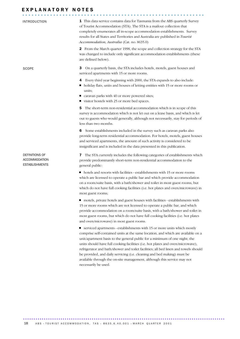| INTRODUCTION                                                    | <b>1</b> This data service contains data for Tasmania from the ABS quarterly Survey<br>of Tourist Accommodation (STA). The STA is a mailout collection that<br>completely enumerates all in-scope accommodation establishments. Survey<br>results for all States and Territories and Australia are published in Tourist<br>Accommodation, Australia (Cat. no. 8635.0)          |  |  |  |  |  |
|-----------------------------------------------------------------|--------------------------------------------------------------------------------------------------------------------------------------------------------------------------------------------------------------------------------------------------------------------------------------------------------------------------------------------------------------------------------|--|--|--|--|--|
|                                                                 | 2 From the March quarter 1998, the scope and collection strategy for the STA<br>was changed to include only significant accommodation establishments (these<br>are defined below).                                                                                                                                                                                             |  |  |  |  |  |
| <b>SCOPE</b>                                                    | On a quarterly basis, the STA includes hotels, motels, guest houses and<br>3<br>serviced apartments with 15 or more rooms.                                                                                                                                                                                                                                                     |  |  |  |  |  |
|                                                                 | Every third year beginning with 2000, the STA expands to also include:<br>4<br>holiday flats, units and houses of letting entities with 15 or more rooms or<br>ш<br>units;<br>caravan parks with 40 or more powered sites;<br>visitor hostels with 25 or more bed spaces.<br>ш                                                                                                 |  |  |  |  |  |
|                                                                 | The short-term non-residential accommodation which is in scope of this<br>5<br>survey is accommodation which is not let out on a lease basis, and which is let<br>out to guests who would generally, although not necessarily, stay for periods of<br>less than two months.                                                                                                    |  |  |  |  |  |
|                                                                 | Some establishments included in the survey such as caravan parks also<br>6<br>provide long-term residential accommodation. For hotels, motels, guest houses<br>and serviced apartments, the amount of such activity is considered to be<br>insignificant and is included in the data presented in this publication.                                                            |  |  |  |  |  |
| DEFINITIONS OF<br><b>ACCOMMODATION</b><br><b>ESTABLISHMENTS</b> | 7 The STA currently includes the following categories of establishments which<br>provide predominantly short-term non-residential accommodation to the<br>general public:                                                                                                                                                                                                      |  |  |  |  |  |
|                                                                 | • hotels and resorts with facilities - establishments with 15 or more rooms<br>which are licensed to operate a public bar and which provide accommodation<br>on a room/suite basis, with a bath/shower and toilet in most guest rooms, but<br>which do not have full cooking facilities (i.e. hot plates and oven/microwave) in<br>most guest rooms;                           |  |  |  |  |  |
|                                                                 | • motels, private hotels and guest houses with facilities - establishments with<br>15 or more rooms which are not licensed to operate a public bar, and which<br>provide accommodation on a room/suite basis, with a bath/shower and toilet in<br>most guest rooms, but which do not have full cooking facilities (i.e. hot plates<br>and oven/microwave) in most guest rooms. |  |  |  |  |  |
|                                                                 | corriced epertments establishments with 15 or more units which mostly                                                                                                                                                                                                                                                                                                          |  |  |  |  |  |

 serviced apartments - establishments with 15 or more units which mostly comprise self-contained units at the same location, and which are available on a unit/apartment basis to the general public for a minimum of one night; the units should have full cooking facilities (i.e. hot plates and oven/microwave), refrigerator and bath/shower and toilet facilities; all bed linen and towels should be provided, and daily servicing (i.e. cleaning and bed making) must be available through the on-site management, although this service may not necessarily be used.

................................................................................................. ......................................................  $\overline{A}$  BS  $\cdot$  TOURIST ACCOMMODATION, TAS  $\cdot$  8635.6.40.001  $\cdot$  MARCH QUARTER 2001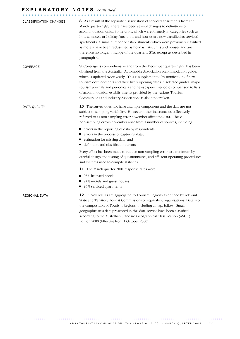# E X P L A N A T O R Y N O T E S *continued* ...........................................................

| <b>CLASSIFICATION CHANGES</b> | 8 As a result of the separate classification of serviced apartments from the<br>March quarter 1998, there have been several changes to definitions of<br>accommodation units. Some units, which were formerly in categories such as<br>hotels, motels or holiday flats, units and houses are now classified as serviced<br>apartments. A small number of establishments which were previously classified<br>as motels have been reclassified as holiday flats, units and houses and are<br>therefore no longer in scope of the quarterly STA, except as described in<br>paragraph 4. |
|-------------------------------|--------------------------------------------------------------------------------------------------------------------------------------------------------------------------------------------------------------------------------------------------------------------------------------------------------------------------------------------------------------------------------------------------------------------------------------------------------------------------------------------------------------------------------------------------------------------------------------|
| COVERAGE                      | <b>9</b> Coverage is comprehensive and from the December quarter 1999, has been<br>obtained from the Australian Automobile Association accommodation guide,<br>which is updated twice yearly. This is supplemented by notification of new<br>tourism developments and their likely opening dates in selected guides, major<br>tourism journals and periodicals and newspapers. Periodic comparison to lists<br>of accommodation establishments provided by the various Tourism<br>Commissions and Industry Associations is also undertaken.                                          |
| DATA QUALITY                  | <b>10</b> The survey does not have a sample component and the data are not<br>subject to sampling variability. However, other inaccuracies collectively<br>referred to as non-sampling error november affect the data. These<br>non-sampling errors november arise from a number of sources, including.                                                                                                                                                                                                                                                                              |
|                               | ■ errors in the reporting of data by respondents;<br>■ errors in the process of capturing data;<br>■ estimation for missing data; and<br>■ definition and classification errors.                                                                                                                                                                                                                                                                                                                                                                                                     |
|                               | Every effort has been made to reduce non-sampling error to a minimum by<br>careful design and testing of questionnaires, and efficient operating procedures<br>and systems used to compile statistics.                                                                                                                                                                                                                                                                                                                                                                               |
|                               | <b>11</b> The March quarter 2001 response rates were:                                                                                                                                                                                                                                                                                                                                                                                                                                                                                                                                |
|                               | ■ 93% licensed hotels<br>■ 94% motels and guest houses<br>■ 96% serviced apartments                                                                                                                                                                                                                                                                                                                                                                                                                                                                                                  |
| REGIONAL DATA                 | 12 Survey results are aggregated to Tourism Regions as defined by relevant<br>State and Territory Tourist Commissions or equivalent organisations. Details of<br>the composition of Tourism Regions, including a map, follow. Small<br>geographic area data presented in this data service have been classified<br>according to the Australian Standard Geographical Classification (ASGC),<br>Edition 2000 (Effective from 1 October 2000).                                                                                                                                         |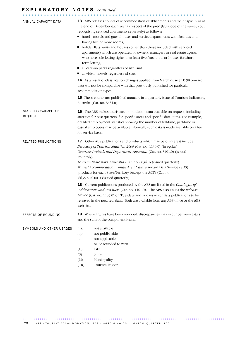| ANNUAL CAPACITY DATA                      | 13 ABS releases counts of accommodation establishments and their capacity as at<br>the end of December each year in respect of the pre-1998 scope of the survey (but<br>recognising serviced apartments separately) as follows:<br>• hotels, motels and guest houses and serviced apartments with facilities and                                                                                                                                                                              |  |  |  |  |  |  |
|-------------------------------------------|-----------------------------------------------------------------------------------------------------------------------------------------------------------------------------------------------------------------------------------------------------------------------------------------------------------------------------------------------------------------------------------------------------------------------------------------------------------------------------------------------|--|--|--|--|--|--|
|                                           |                                                                                                                                                                                                                                                                                                                                                                                                                                                                                               |  |  |  |  |  |  |
|                                           | having five or more rooms;<br>holiday flats, units and houses (other than those included with serviced<br>ш<br>apartments) which are operated by owners, managers or real estate agents<br>who have sole letting rights to at least five flats, units or houses for short<br>term letting;<br>all caravan parks regardless of size; and<br>ш<br>all visitor hostels regardless of size.                                                                                                       |  |  |  |  |  |  |
|                                           | 14 As a result of classification changes applied from March quarter 1998 onward,<br>data will not be comparable with that previously published for particular<br>accommodation types.                                                                                                                                                                                                                                                                                                         |  |  |  |  |  |  |
|                                           | <b>15</b> These counts are published annually in a quarterly issue of Tourism Indicators,<br>Australia (Cat. no. 8634.0).                                                                                                                                                                                                                                                                                                                                                                     |  |  |  |  |  |  |
| STATISTICS AVAILABLE ON<br><b>REQUEST</b> | 16 The ABS makes tourist accommodation data available on request, including<br>statistics for past quarters, for specific areas and specific data items. For example,<br>detailed employment statistics showing the number of full-time, part-time or<br>casual employees may be available. Normally such data is made available on a fee<br>for service basis.                                                                                                                               |  |  |  |  |  |  |
| RELATED PUBLICATIONS                      | <b>17</b> Other ABS publications and products which may be of interest include:<br>Directory of Tourism Statistics, 2000 (Cat. no. 1130.0) (irregular)<br>Overseas Arrivals and Departures, Australia (Cat. no. 3401.0) (issued<br>monthly)<br>Tourism Indicators, Australia (Cat. no. 8634.0) (issued quarterly)<br>Tourist Accommodation, Small Area Data Standard Data Service (SDS)<br>products for each State/Territory (except the ACT) (Cat. no.<br>8635.n.40.001) (issued quarterly). |  |  |  |  |  |  |
|                                           | 18 Current publications produced by the ABS are listed in the Catalogue of<br>Publications and Products (Cat. no. 1101.0). The ABS also issues the Release<br>Advice (Cat. no. 1105.0) on Tuesdays and Fridays which lists publications to be<br>released in the next few days. Both are available from any ABS office or the ABS<br>web site.                                                                                                                                                |  |  |  |  |  |  |
| EFFECTS OF ROUNDING                       | Where figures have been rounded, discrepancies may occur between totals<br>19<br>and the sum of the component items.                                                                                                                                                                                                                                                                                                                                                                          |  |  |  |  |  |  |
| SYMBOLS AND OTHER USAGES                  | not available<br>n.a.<br>not publishable<br>n.p.<br>not applicable<br>. .<br>nil or rounded to zero<br>(C)<br>City<br>Shire<br>(S)<br>(M)<br>Municipality<br>Tourism Region<br>(TR)                                                                                                                                                                                                                                                                                                           |  |  |  |  |  |  |

20 ABS · TOURIST ACCOMMODATION, TAS · 8635.6.40.001 · MARCH QUARTER 2001

................................................................................................. ......................................................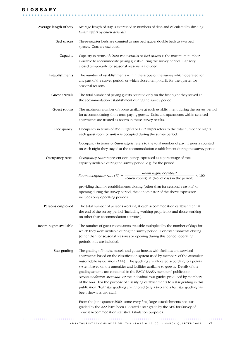## G L O S S A R Y

| Average length of stay | Average length of stay is expressed in numbers of days and calculated by dividing<br>Guest nights by Guest arrivals.                                                                                                                                                                                                                                                                                                                                                                                                                                                                                                                                                                                                                                                               |
|------------------------|------------------------------------------------------------------------------------------------------------------------------------------------------------------------------------------------------------------------------------------------------------------------------------------------------------------------------------------------------------------------------------------------------------------------------------------------------------------------------------------------------------------------------------------------------------------------------------------------------------------------------------------------------------------------------------------------------------------------------------------------------------------------------------|
| Bed spaces             | Three-quarter beds are counted as one bed space; double beds as two bed<br>spaces. Cots are excluded.                                                                                                                                                                                                                                                                                                                                                                                                                                                                                                                                                                                                                                                                              |
| Capacity               | Capacity in terms of Guest rooms/units or Bed spaces is the maximum number<br>available to accommodate paying guests during the survey period. Capacity<br>closed temporarily for seasonal reasons is included.                                                                                                                                                                                                                                                                                                                                                                                                                                                                                                                                                                    |
| Establishments         | The number of establishments within the scope of the survey which operated for<br>any part of the survey period, or which closed temporarily for the quarter for<br>seasonal reasons.                                                                                                                                                                                                                                                                                                                                                                                                                                                                                                                                                                                              |
| Guest arrivals         | The total number of paying guests counted only on the first night they stayed at<br>the accommodation establishment during the survey period.                                                                                                                                                                                                                                                                                                                                                                                                                                                                                                                                                                                                                                      |
| Guest rooms            | The maximum number of rooms available at each establishment during the survey period<br>for accommodating short-term paying guests. Units and apartments within serviced<br>apartments are treated as rooms in these survey results.                                                                                                                                                                                                                                                                                                                                                                                                                                                                                                                                               |
| Occupancy              | Occupancy in terms of Room nights or Unit nights refers to the total number of nights<br>each guest room or unit was occupied during the survey period.                                                                                                                                                                                                                                                                                                                                                                                                                                                                                                                                                                                                                            |
|                        | Occupancy in terms of Guest nights refers to the total number of paying guests counted<br>on each night they stayed at the accommodation establishment during the survey period.                                                                                                                                                                                                                                                                                                                                                                                                                                                                                                                                                                                                   |
| Occupancy rates        | Occupancy rates represent occupancy expressed as a percentage of total<br>capacity available during the survey period, e.g. for the period                                                                                                                                                                                                                                                                                                                                                                                                                                                                                                                                                                                                                                         |
|                        |                                                                                                                                                                                                                                                                                                                                                                                                                                                                                                                                                                                                                                                                                                                                                                                    |
|                        | Room occupancy rate (%) = $\frac{Room \text{ nights occupied}}{(Guest \text{ rooms}) \times (No. \text{ of days in the period})} \times 100$                                                                                                                                                                                                                                                                                                                                                                                                                                                                                                                                                                                                                                       |
|                        | providing that, for establishments closing (other than for seasonal reasons) or<br>opening during the survey period, the denominator of the above expression<br>includes only operating periods.                                                                                                                                                                                                                                                                                                                                                                                                                                                                                                                                                                                   |
| Persons employed       | The total number of persons working at each accommodation establishment at<br>the end of the survey period (including working proprietors and those working<br>on other than accommodation activities).                                                                                                                                                                                                                                                                                                                                                                                                                                                                                                                                                                            |
| Room nights available  | The number of guest rooms/units available multiplied by the number of days for<br>which they were available during the survey period. For establishments closing<br>(other than for seasonal reasons) or opening during this period, operating<br>periods only are included.                                                                                                                                                                                                                                                                                                                                                                                                                                                                                                       |
| Star grading           | The grading of hotels, motels and guest houses with facilities and serviced<br>apartments based on the classification system used by members of the Australian<br>Automobile Association (AAA). The gradings are allocated according to a points<br>system based on the amenities and facilities available to guests. Details of the<br>grading scheme are contained in the RACV-RAASA members' publication<br>Accommodation Australia, or the individual tour guides produced by members<br>of the AAA. For the purpose of classifying establishments to a star grading in this<br>publication, 'half' star gradings are ignored (e.g. a two and a half star grading has<br>been shown as two star).<br>From the June quarter 2000, some (very few) large establishments not star |

........................................................... .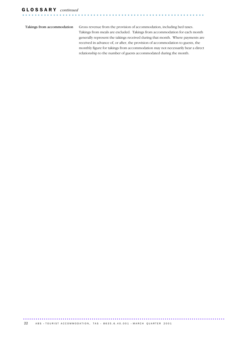Takings from accommodation Gross revenue from the provision of accommodation, including bed taxes. Takings from meals are excluded. Takings from accommodation for each month generally represent the takings received during that month. Where payments are received in advance of, or after, the provision of accommodation to guests, the monthly figure for takings from accommodation may not necessarily bear a direct relationship to the number of guests accommodated during the month.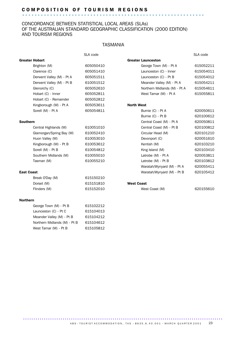# C O M P O S I T I O N O F T O U R I S M R E G I O N S ........................................................... .

### CONCORDANCE BETWEEN STATISTICAL LOCAL AREAS (SLAs) OF THE AUSTRALIAN STANDARD GEOGRAPHIC CLASSIFICATION (2000 EDITION) AND TOURISM REGIONS

## TASMANIA

|                   |                              | SLA code  |                              | SLA code  |
|-------------------|------------------------------|-----------|------------------------------|-----------|
|                   | <b>Greater Hobart</b>        |           | <b>Greater Launceston</b>    |           |
|                   | Brighton (M)                 | 605050410 | George Town (M) - Pt A       | 615052211 |
|                   | Clarence (C)                 | 605051410 | Launceston (C) - Inner       | 615054011 |
|                   | Derwent Valley (M) - Pt A    | 605051511 | Launceston (C) - Pt B        | 615054012 |
|                   | Derwent Valley (M) - Pt B    | 610051512 | Meander Valley (M) - Pt A    | 615054211 |
|                   | Glenorchy (C)                | 605052610 | Northern Midlands (M) - Pt A | 615054611 |
|                   | Hobart (C) - Inner           | 605052811 | West Tamar (M) - Pt A        | 615055811 |
|                   | Hobart (C) - Remainder       | 605052812 |                              |           |
|                   | Kingborough (M) - Pt A       | 605053611 | <b>North West</b>            |           |
|                   | Sorell (M) - Pt A            | 605054811 | Burnie (C) - Pt A            | 620050611 |
|                   |                              |           | Burnie (C) - Pt B            | 620100612 |
| <b>Southern</b>   |                              |           | Central Coast (M) - Pt A     | 620050811 |
|                   | Central Highlands (M)        | 610051010 | Central Coast (M) - Pt B     | 620100812 |
|                   | Glamorgan/Spring Bay (M)     | 610052410 | Circular Head (M)            | 620101210 |
|                   | Huon Valley (M)              | 610053010 | Devonport (C)                | 620051610 |
|                   | Kingborough (M) - Pt B       | 610053612 | Kentish (M)                  | 620103210 |
|                   | Sorell (M) - Pt B            | 610054812 | King Island (M)              | 620103410 |
|                   | Southern Midlands (M)        | 610055010 | Latrobe (M) - Pt A           | 620053811 |
|                   | Tasman (M)                   | 610055210 | Latrobe (M) - Pt B           | 620103812 |
|                   |                              |           | Waratah/Wynyard (M) - Pt A   | 620055411 |
| <b>East Coast</b> |                              |           | Waratah/Wynyard (M) - Pt B   | 620105412 |
|                   | Break O'Day (M)              | 615150210 |                              |           |
|                   | Dorset (M)                   | 615151810 | <b>West Coast</b>            |           |
|                   | Flinders (M)                 | 615152010 | West Coast (M)               | 620155610 |
| <b>Northern</b>   |                              |           |                              |           |
|                   | George Town (M) - Pt B       | 615102212 |                              |           |
|                   | Launceston (C) - Pt C        | 615104013 |                              |           |
|                   | Meander Valley (M) - Pt B    | 615104212 |                              |           |
|                   | Northern Midlands (M) - Pt B | 615104612 |                              |           |
|                   | West Tamar (M) - Pt B        | 615105812 |                              |           |
|                   |                              |           |                              |           |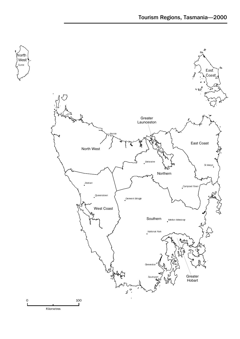